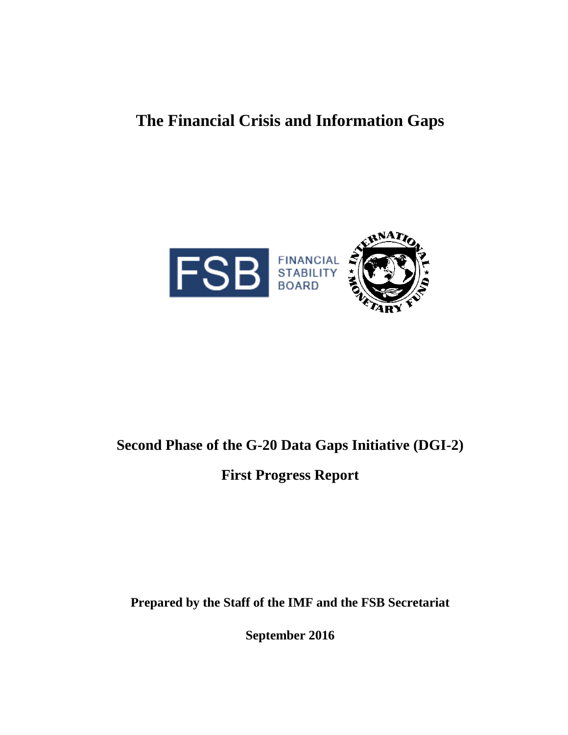# **The Financial Crisis and Information Gaps**



# **Second Phase of the G-20 Data Gaps Initiative (DGI-2)**

**First Progress Report** 

**Prepared by the Staff of the IMF and the FSB Secretariat**

**September 2016**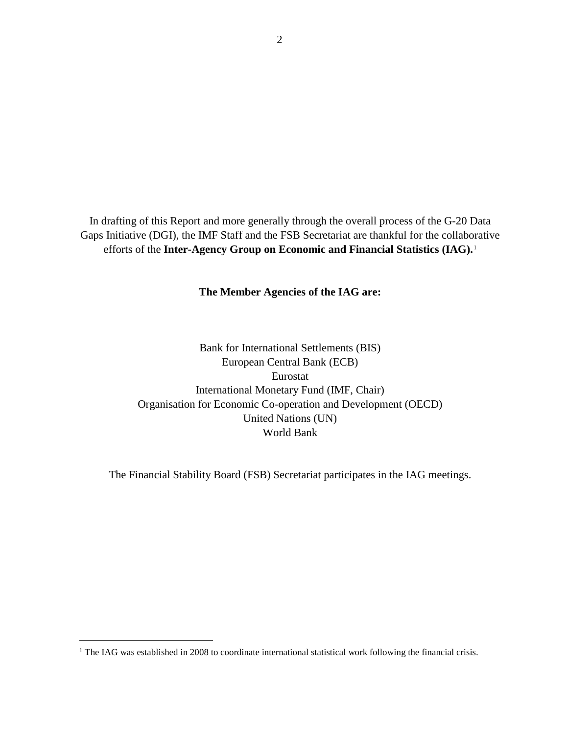In drafting of this Report and more generally through the overall process of the G-20 Data Gaps Initiative (DGI), the IMF Staff and the FSB Secretariat are thankful for the collaborative efforts of the **Inter-Agency Group on Economic and Financial Statistics (IAG).**[1](#page-1-0)

**The Member Agencies of the IAG are:**

Bank for International Settlements (BIS) European Central Bank (ECB) Eurostat International Monetary Fund (IMF, Chair) Organisation for Economic Co-operation and Development (OECD) United Nations (UN) World Bank

The Financial Stability Board (FSB) Secretariat participates in the IAG meetings.

<span id="page-1-0"></span><sup>&</sup>lt;sup>1</sup> The IAG was established in 2008 to coordinate international statistical work following the financial crisis.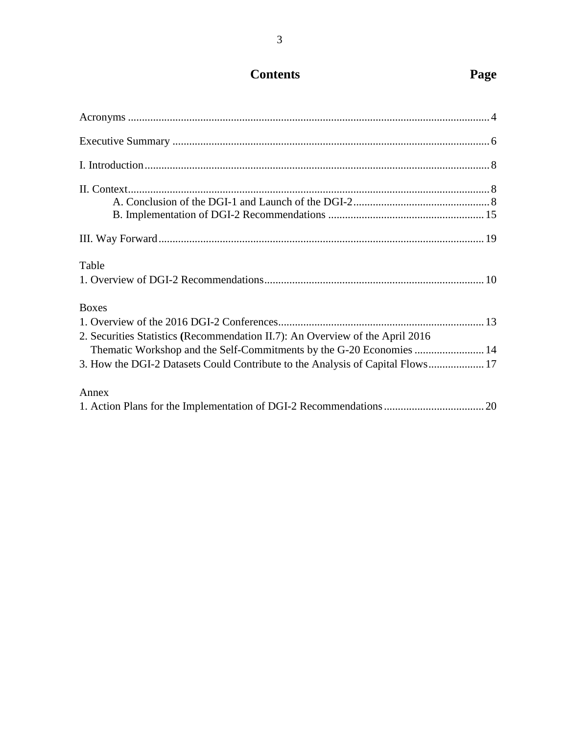# **Contents Page**

| Table                                                                                                                                                                 |  |
|-----------------------------------------------------------------------------------------------------------------------------------------------------------------------|--|
| <b>Boxes</b><br>2. Securities Statistics (Recommendation II.7): An Overview of the April 2016<br>Thematic Workshop and the Self-Commitments by the G-20 Economies  14 |  |
| 3. How the DGI-2 Datasets Could Contribute to the Analysis of Capital Flows 17                                                                                        |  |
| Annex                                                                                                                                                                 |  |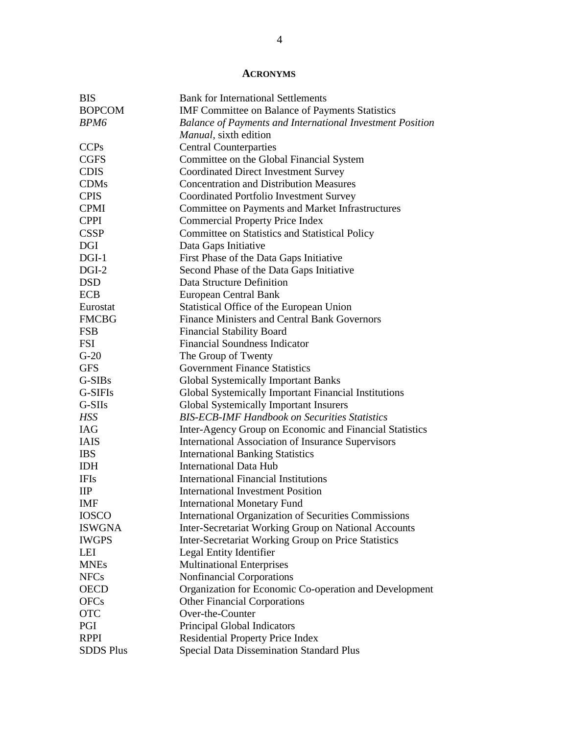# **ACRONYMS**

| <b>BIS</b>       | <b>Bank for International Settlements</b>                        |
|------------------|------------------------------------------------------------------|
| <b>BOPCOM</b>    | IMF Committee on Balance of Payments Statistics                  |
| BPM6             | <b>Balance of Payments and International Investment Position</b> |
|                  | Manual, sixth edition                                            |
| <b>CCPs</b>      | <b>Central Counterparties</b>                                    |
| <b>CGFS</b>      | Committee on the Global Financial System                         |
| <b>CDIS</b>      | <b>Coordinated Direct Investment Survey</b>                      |
| <b>CDMs</b>      | <b>Concentration and Distribution Measures</b>                   |
| <b>CPIS</b>      | Coordinated Portfolio Investment Survey                          |
| <b>CPMI</b>      | Committee on Payments and Market Infrastructures                 |
| <b>CPPI</b>      | <b>Commercial Property Price Index</b>                           |
| <b>CSSP</b>      | Committee on Statistics and Statistical Policy                   |
| <b>DGI</b>       | Data Gaps Initiative                                             |
| $DGI-1$          | First Phase of the Data Gaps Initiative                          |
| $DGI-2$          | Second Phase of the Data Gaps Initiative                         |
| <b>DSD</b>       | Data Structure Definition                                        |
| <b>ECB</b>       | European Central Bank                                            |
| Eurostat         | Statistical Office of the European Union                         |
| <b>FMCBG</b>     | <b>Finance Ministers and Central Bank Governors</b>              |
| <b>FSB</b>       | <b>Financial Stability Board</b>                                 |
| <b>FSI</b>       | <b>Financial Soundness Indicator</b>                             |
| $G-20$           | The Group of Twenty                                              |
| <b>GFS</b>       | <b>Government Finance Statistics</b>                             |
| G-SIBs           | <b>Global Systemically Important Banks</b>                       |
| G-SIFIs          | Global Systemically Important Financial Institutions             |
| G-SIIs           | <b>Global Systemically Important Insurers</b>                    |
| HSS              | <b>BIS-ECB-IMF Handbook on Securities Statistics</b>             |
| <b>IAG</b>       | Inter-Agency Group on Economic and Financial Statistics          |
| <b>IAIS</b>      | <b>International Association of Insurance Supervisors</b>        |
| <b>IBS</b>       | <b>International Banking Statistics</b>                          |
| <b>IDH</b>       | <b>International Data Hub</b>                                    |
| <b>IFIs</b>      | <b>International Financial Institutions</b>                      |
| $_{\rm IIP}$     | <b>International Investment Position</b>                         |
| IMF              | <b>International Monetary Fund</b>                               |
| <b>IOSCO</b>     | <b>International Organization of Securities Commissions</b>      |
| <b>ISWGNA</b>    | Inter-Secretariat Working Group on National Accounts             |
| <b>IWGPS</b>     | <b>Inter-Secretariat Working Group on Price Statistics</b>       |
| LEI              | Legal Entity Identifier                                          |
| <b>MNEs</b>      | <b>Multinational Enterprises</b>                                 |
| <b>NFCs</b>      | Nonfinancial Corporations                                        |
| <b>OECD</b>      | Organization for Economic Co-operation and Development           |
| <b>OFCs</b>      | <b>Other Financial Corporations</b>                              |
| <b>OTC</b>       | Over-the-Counter                                                 |
| PGI              | Principal Global Indicators                                      |
| <b>RPPI</b>      | <b>Residential Property Price Index</b>                          |
| <b>SDDS Plus</b> | <b>Special Data Dissemination Standard Plus</b>                  |
|                  |                                                                  |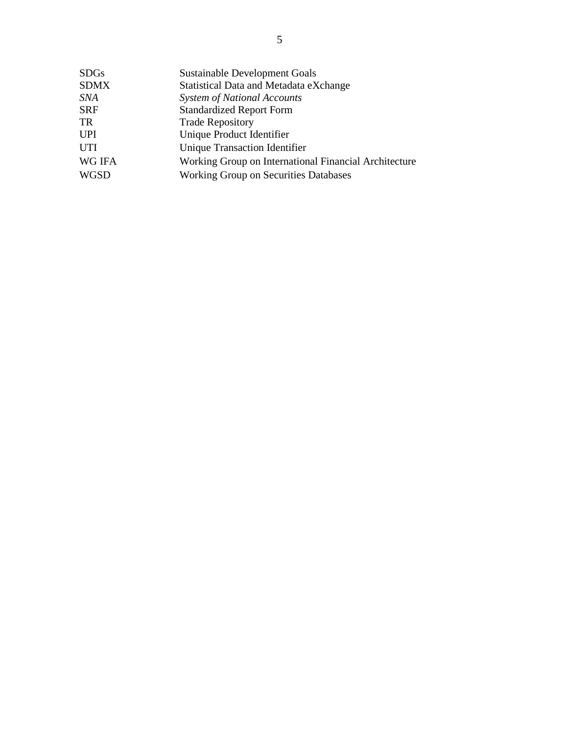| <b>SDGs</b>   | <b>Sustainable Development Goals</b>                  |
|---------------|-------------------------------------------------------|
| <b>SDMX</b>   | Statistical Data and Metadata eXchange                |
| SNA           | <b>System of National Accounts</b>                    |
| <b>SRF</b>    | <b>Standardized Report Form</b>                       |
| TR            | <b>Trade Repository</b>                               |
| <b>UPI</b>    | Unique Product Identifier                             |
| <b>UTI</b>    | Unique Transaction Identifier                         |
| <b>WG IFA</b> | Working Group on International Financial Architecture |
| <b>WGSD</b>   | <b>Working Group on Securities Databases</b>          |
|               |                                                       |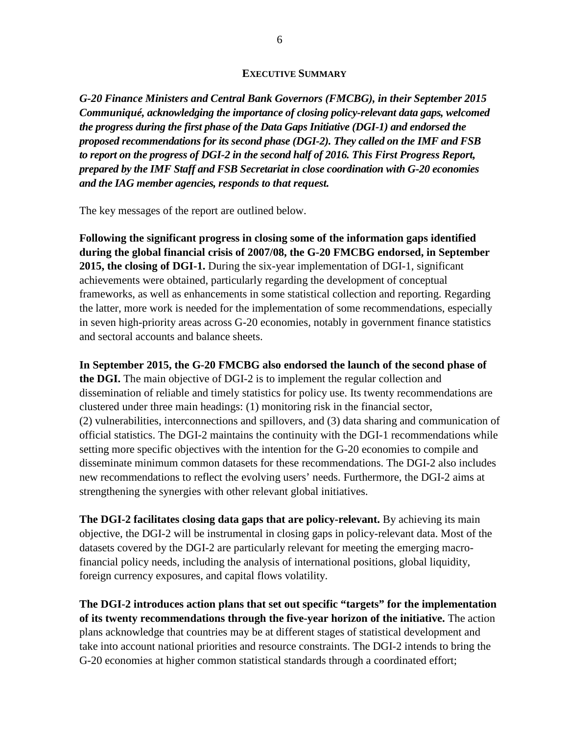#### **EXECUTIVE SUMMARY**

*G-20 Finance Ministers and Central Bank Governors (FMCBG), in their September 2015 Communiqué, acknowledging the importance of closing policy-relevant data gaps, welcomed the progress during the first phase of the Data Gaps Initiative (DGI-1) and endorsed the proposed recommendations for its second phase (DGI-2). They called on the IMF and FSB to report on the progress of DGI-2 in the second half of 2016. This First Progress Report, prepared by the IMF Staff and FSB Secretariat in close coordination with G-20 economies and the IAG member agencies, responds to that request.*

The key messages of the report are outlined below.

**Following the significant progress in closing some of the information gaps identified during the global financial crisis of 2007/08, the G-20 FMCBG endorsed, in September 2015, the closing of DGI-1.** During the six-year implementation of DGI-1, significant achievements were obtained, particularly regarding the development of conceptual frameworks, as well as enhancements in some statistical collection and reporting. Regarding the latter, more work is needed for the implementation of some recommendations, especially in seven high-priority areas across G-20 economies, notably in government finance statistics and sectoral accounts and balance sheets.

**In September 2015, the G-20 FMCBG also endorsed the launch of the second phase of the DGI.** The main objective of DGI-2 is to implement the regular collection and dissemination of reliable and timely statistics for policy use. Its twenty recommendations are clustered under three main headings: (1) monitoring risk in the financial sector, (2) vulnerabilities, interconnections and spillovers, and (3) data sharing and communication of official statistics. The DGI-2 maintains the continuity with the DGI-1 recommendations while setting more specific objectives with the intention for the G-20 economies to compile and disseminate minimum common datasets for these recommendations. The DGI-2 also includes new recommendations to reflect the evolving users' needs. Furthermore, the DGI-2 aims at strengthening the synergies with other relevant global initiatives.

**The DGI-2 facilitates closing data gaps that are policy-relevant.** By achieving its main objective, the DGI-2 will be instrumental in closing gaps in policy-relevant data. Most of the datasets covered by the DGI-2 are particularly relevant for meeting the emerging macrofinancial policy needs, including the analysis of international positions, global liquidity, foreign currency exposures, and capital flows volatility.

**The DGI-2 introduces action plans that set out specific "targets" for the implementation of its twenty recommendations through the five-year horizon of the initiative.** The action plans acknowledge that countries may be at different stages of statistical development and take into account national priorities and resource constraints. The DGI-2 intends to bring the G-20 economies at higher common statistical standards through a coordinated effort;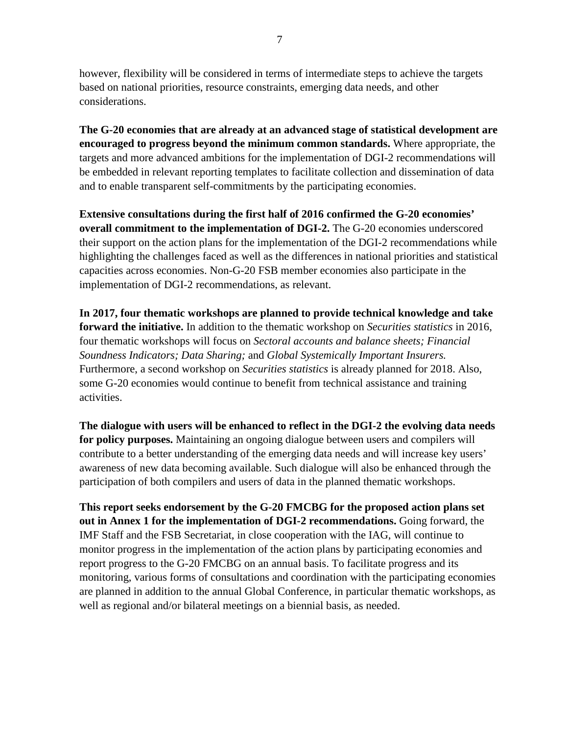however, flexibility will be considered in terms of intermediate steps to achieve the targets based on national priorities, resource constraints, emerging data needs, and other considerations.

**The G-20 economies that are already at an advanced stage of statistical development are encouraged to progress beyond the minimum common standards.** Where appropriate, the targets and more advanced ambitions for the implementation of DGI-2 recommendations will be embedded in relevant reporting templates to facilitate collection and dissemination of data and to enable transparent self-commitments by the participating economies.

**Extensive consultations during the first half of 2016 confirmed the G-20 economies' overall commitment to the implementation of DGI-2.** The G-20 economies underscored their support on the action plans for the implementation of the DGI-2 recommendations while highlighting the challenges faced as well as the differences in national priorities and statistical capacities across economies. Non-G-20 FSB member economies also participate in the implementation of DGI-2 recommendations, as relevant.

**In 2017, four thematic workshops are planned to provide technical knowledge and take forward the initiative.** In addition to the thematic workshop on *Securities statistics* in 2016, four thematic workshops will focus on *Sectoral accounts and balance sheets; Financial Soundness Indicators; Data Sharing;* and *Global Systemically Important Insurers.* Furthermore, a second workshop on *Securities statistics* is already planned for 2018. Also, some G-20 economies would continue to benefit from technical assistance and training activities.

**The dialogue with users will be enhanced to reflect in the DGI-2 the evolving data needs for policy purposes.** Maintaining an ongoing dialogue between users and compilers will contribute to a better understanding of the emerging data needs and will increase key users' awareness of new data becoming available. Such dialogue will also be enhanced through the participation of both compilers and users of data in the planned thematic workshops.

**This report seeks endorsement by the G-20 FMCBG for the proposed action plans set out in Annex 1 for the implementation of DGI-2 recommendations.** Going forward, the IMF Staff and the FSB Secretariat, in close cooperation with the IAG, will continue to monitor progress in the implementation of the action plans by participating economies and report progress to the G-20 FMCBG on an annual basis. To facilitate progress and its monitoring, various forms of consultations and coordination with the participating economies are planned in addition to the annual Global Conference, in particular thematic workshops, as well as regional and/or bilateral meetings on a biennial basis, as needed.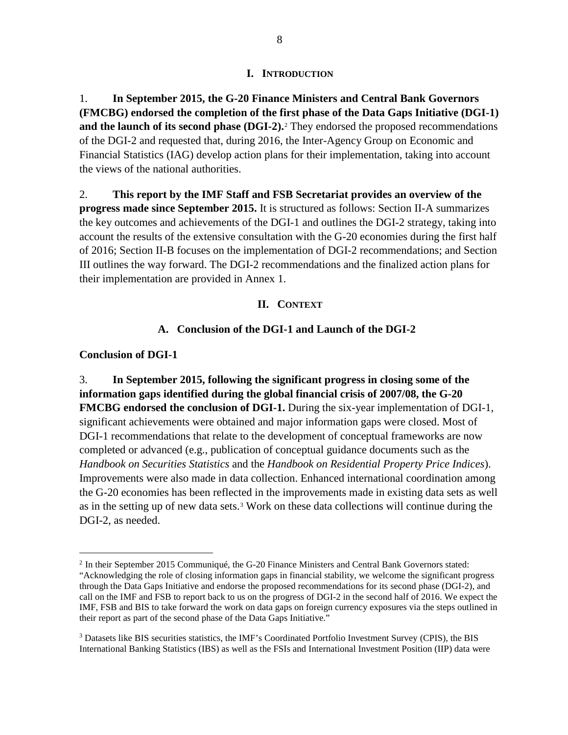#### **I. INTRODUCTION**

1. **In September 2015, the G-20 Finance Ministers and Central Bank Governors (FMCBG) endorsed the completion of the first phase of the Data Gaps Initiative (DGI-1) and the launch of its second phase (DGI-2).**[2](#page-7-0) They endorsed the proposed recommendations of the DGI-2 and requested that, during 2016, the Inter-Agency Group on Economic and Financial Statistics (IAG) develop action plans for their implementation, taking into account the views of the national authorities.

2. **This report by the IMF Staff and FSB Secretariat provides an overview of the progress made since September 2015.** It is structured as follows: Section II-A summarizes the key outcomes and achievements of the DGI-1 and outlines the DGI-2 strategy, taking into account the results of the extensive consultation with the G-20 economies during the first half of 2016; Section II-B focuses on the implementation of DGI-2 recommendations; and Section III outlines the way forward. The DGI-2 recommendations and the finalized action plans for their implementation are provided in Annex 1.

### **II. CONTEXT**

### **A. Conclusion of the DGI-1 and Launch of the DGI-2**

#### **Conclusion of DGI-1**

3. **In September 2015, following the significant progress in closing some of the information gaps identified during the global financial crisis of 2007/08, the G-20 FMCBG endorsed the conclusion of DGI-1.** During the six-year implementation of DGI-1, significant achievements were obtained and major information gaps were closed. Most of DGI-1 recommendations that relate to the development of conceptual frameworks are now completed or advanced (e.g., publication of conceptual guidance documents such as the *Handbook on Securities Statistics* and the *Handbook on Residential Property Price Indices*). Improvements were also made in data collection. Enhanced international coordination among the G-20 economies has been reflected in the improvements made in existing data sets as well as in the setting up of new data sets.[3](#page-7-1) Work on these data collections will continue during the DGI-2, as needed.

<span id="page-7-0"></span> <sup>2</sup> In their September 2015 Communiqué, the G-20 Finance Ministers and Central Bank Governors stated:

<sup>&</sup>quot;Acknowledging the role of closing information gaps in financial stability, we welcome the significant progress through the Data Gaps Initiative and endorse the proposed recommendations for its second phase (DGI-2), and call on the IMF and FSB to report back to us on the progress of DGI-2 in the second half of 2016. We expect the IMF, FSB and BIS to take forward the work on data gaps on foreign currency exposures via the steps outlined in their report as part of the second phase of the Data Gaps Initiative."

<span id="page-7-1"></span><sup>&</sup>lt;sup>3</sup> Datasets like BIS securities statistics, the IMF's Coordinated Portfolio Investment Survey (CPIS), the BIS International Banking Statistics (IBS) as well as the FSIs and International Investment Position (IIP) data were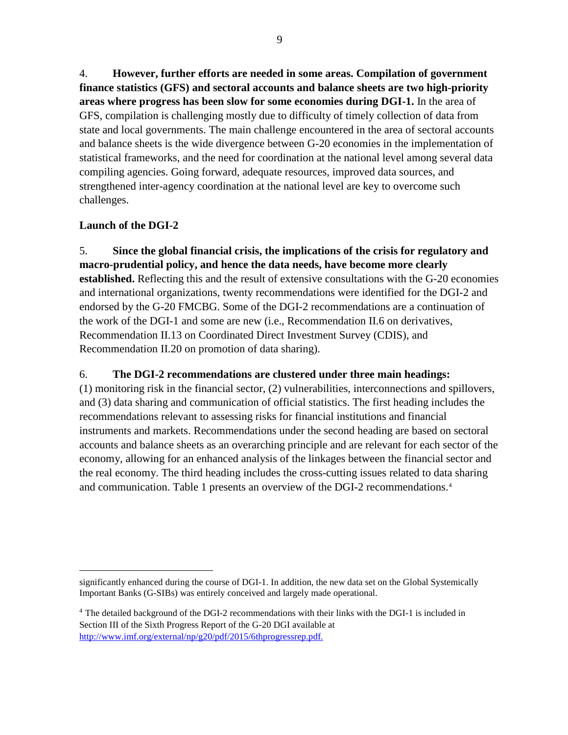4. **However, further efforts are needed in some areas. Compilation of government finance statistics (GFS) and sectoral accounts and balance sheets are two high-priority areas where progress has been slow for some economies during DGI-1.** In the area of GFS, compilation is challenging mostly due to difficulty of timely collection of data from state and local governments. The main challenge encountered in the area of sectoral accounts and balance sheets is the wide divergence between G-20 economies in the implementation of statistical frameworks, and the need for coordination at the national level among several data compiling agencies. Going forward, adequate resources, improved data sources, and strengthened inter-agency coordination at the national level are key to overcome such challenges.

# **Launch of the DGI-2**

 $\overline{a}$ 

5. **Since the global financial crisis, the implications of the crisis for regulatory and macro-prudential policy, and hence the data needs, have become more clearly established.** Reflecting this and the result of extensive consultations with the G-20 economies and international organizations, twenty recommendations were identified for the DGI-2 and endorsed by the G-20 FMCBG. Some of the DGI-2 recommendations are a continuation of the work of the DGI-1 and some are new (i.e., Recommendation II.6 on derivatives, Recommendation II.13 on Coordinated Direct Investment Survey (CDIS), and Recommendation II.20 on promotion of data sharing).

# 6. **The DGI-2 recommendations are clustered under three main headings:**

(1) monitoring risk in the financial sector, (2) vulnerabilities, interconnections and spillovers, and (3) data sharing and communication of official statistics. The first heading includes the recommendations relevant to assessing risks for financial institutions and financial instruments and markets. Recommendations under the second heading are based on sectoral accounts and balance sheets as an overarching principle and are relevant for each sector of the economy, allowing for an enhanced analysis of the linkages between the financial sector and the real economy. The third heading includes the cross-cutting issues related to data sharing and communication. Table 1 presents an overview of the DGI-2 recommendations.[4](#page-8-0)

significantly enhanced during the course of DGI-1. In addition, the new data set on the Global Systemically Important Banks (G-SIBs) was entirely conceived and largely made operational.

<span id="page-8-0"></span><sup>4</sup> The detailed background of the DGI-2 recommendations with their links with the DGI-1 is included in Section III of the Sixth Progress Report of the G-20 DGI available at [http://www.imf.org/external/np/g20/pdf/2015/6thprogressrep.pdf.](http://www.imf.org/external/np/g20/pdf/2015/6thprogressrep.pdf)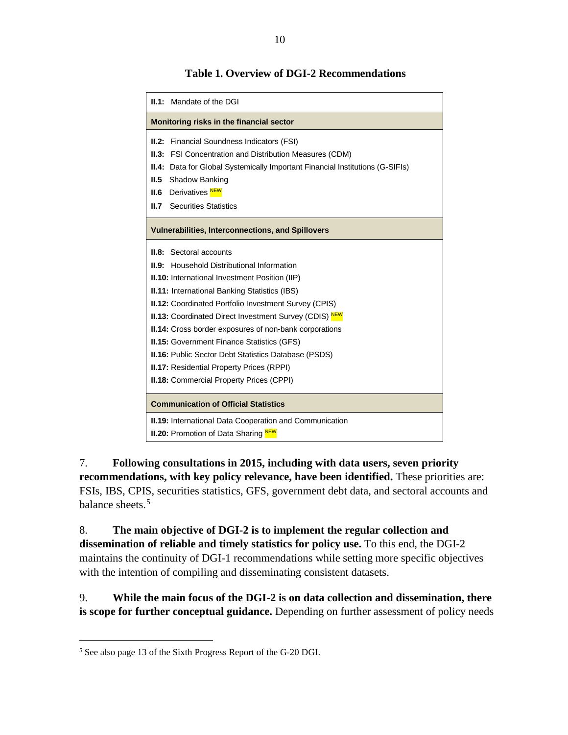| <b>II.1:</b> Mandate of the DGI                                                                                                                                                                                                                                                                                                                                                                                                                                                                                                                                                                                     |  |
|---------------------------------------------------------------------------------------------------------------------------------------------------------------------------------------------------------------------------------------------------------------------------------------------------------------------------------------------------------------------------------------------------------------------------------------------------------------------------------------------------------------------------------------------------------------------------------------------------------------------|--|
| Monitoring risks in the financial sector                                                                                                                                                                                                                                                                                                                                                                                                                                                                                                                                                                            |  |
| <b>II.2:</b> Financial Soundness Indicators (FSI)<br><b>II.3:</b> FSI Concentration and Distribution Measures (CDM)<br>II.4: Data for Global Systemically Important Financial Institutions (G-SIFIs)<br>Shadow Banking<br>II.5<br><b>II.6</b> Derivatives NEW<br><b>II.7</b> Securities Statistics                                                                                                                                                                                                                                                                                                                  |  |
| <b>Vulnerabilities, Interconnections, and Spillovers</b>                                                                                                                                                                                                                                                                                                                                                                                                                                                                                                                                                            |  |
| <b>II.8:</b> Sectoral accounts<br><b>II.9:</b> Household Distributional Information<br><b>II.10:</b> International Investment Position (IIP)<br><b>II.11: International Banking Statistics (IBS)</b><br><b>II.12: Coordinated Portfolio Investment Survey (CPIS)</b><br><b>II.13:</b> Coordinated Direct Investment Survey (CDIS) NEW<br>II.14: Cross border exposures of non-bank corporations<br><b>II.15:</b> Government Finance Statistics (GFS)<br><b>II.16:</b> Public Sector Debt Statistics Database (PSDS)<br><b>II.17: Residential Property Prices (RPPI)</b><br>II.18: Commercial Property Prices (CPPI) |  |
| <b>Communication of Official Statistics</b>                                                                                                                                                                                                                                                                                                                                                                                                                                                                                                                                                                         |  |
| <b>II.19:</b> International Data Cooperation and Communication<br><b>II.20:</b> Promotion of Data Sharing NEW                                                                                                                                                                                                                                                                                                                                                                                                                                                                                                       |  |

### **Table 1. Overview of DGI-2 Recommendations**

7. **Following consultations in 2015, including with data users, seven priority recommendations, with key policy relevance, have been identified.** These priorities are: FSIs, IBS, CPIS, securities statistics, GFS, government debt data, and sectoral accounts and balance sheets. [5](#page-9-0)

8. **The main objective of DGI-2 is to implement the regular collection and dissemination of reliable and timely statistics for policy use.** To this end, the DGI-2 maintains the continuity of DGI-1 recommendations while setting more specific objectives with the intention of compiling and disseminating consistent datasets.

9. **While the main focus of the DGI-2 is on data collection and dissemination, there is scope for further conceptual guidance.** Depending on further assessment of policy needs

<span id="page-9-0"></span> <sup>5</sup> See also page 13 of the Sixth Progress Report of the G-20 DGI.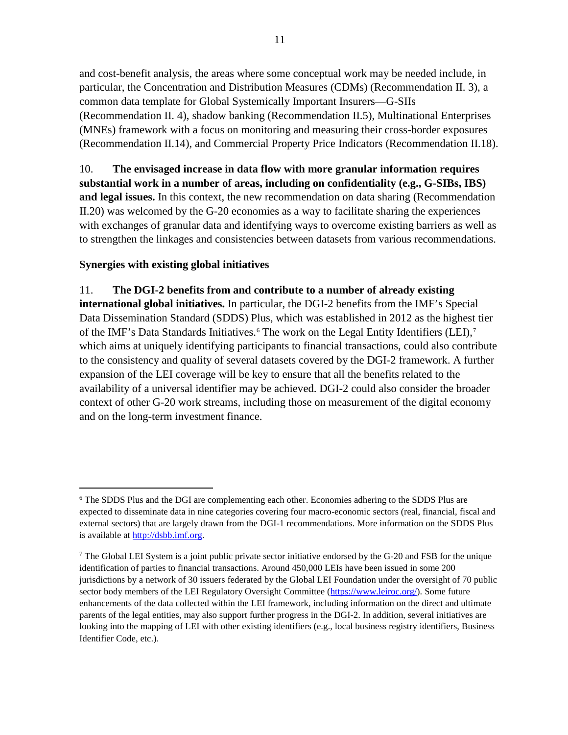and cost-benefit analysis, the areas where some conceptual work may be needed include, in particular, the Concentration and Distribution Measures (CDMs) (Recommendation II. 3), a common data template for Global Systemically Important Insurers—G-SIIs (Recommendation II. 4), shadow banking (Recommendation II.5), Multinational Enterprises (MNEs) framework with a focus on monitoring and measuring their cross-border exposures (Recommendation II.14), and Commercial Property Price Indicators (Recommendation II.18).

10. **The envisaged increase in data flow with more granular information requires substantial work in a number of areas, including on confidentiality (e.g., G-SIBs, IBS) and legal issues.** In this context, the new recommendation on data sharing (Recommendation II.20) was welcomed by the G-20 economies as a way to facilitate sharing the experiences with exchanges of granular data and identifying ways to overcome existing barriers as well as to strengthen the linkages and consistencies between datasets from various recommendations.

# **Synergies with existing global initiatives**

# 11. **The DGI-2 benefits from and contribute to a number of already existing**

**international global initiatives.** In particular, the DGI-2 benefits from the IMF's Special Data Dissemination Standard (SDDS) Plus, which was established in 2012 as the highest tier of the IMF's Data Standards Initiatives.<sup>[6](#page-10-0)</sup> The work on the Legal Entity Identifiers (LEI),<sup>[7](#page-10-1)</sup> which aims at uniquely identifying participants to financial transactions, could also contribute to the consistency and quality of several datasets covered by the DGI-2 framework. A further expansion of the LEI coverage will be key to ensure that all the benefits related to the availability of a universal identifier may be achieved. DGI-2 could also consider the broader context of other G-20 work streams, including those on measurement of the digital economy and on the long-term investment finance.

<span id="page-10-0"></span> <sup>6</sup> The SDDS Plus and the DGI are complementing each other. Economies adhering to the SDDS Plus are expected to disseminate data in nine categories covering four macro-economic sectors (real, financial, fiscal and external sectors) that are largely drawn from the DGI-1 recommendations. More information on the SDDS Plus is available at [http://dsbb.imf.org.](http://dsbb.imf.org/)

<span id="page-10-1"></span><sup>7</sup> The Global LEI System is a joint public private sector initiative endorsed by the G-20 and FSB for the unique identification of parties to financial transactions. Around 450,000 LEIs have been issued in some 200 jurisdictions by a network of 30 issuers federated by the Global LEI Foundation under the oversight of 70 public sector body members of the LEI Regulatory Oversight Committee [\(https://www.leiroc.org/\)](https://www.leiroc.org/). Some future enhancements of the data collected within the LEI framework, including information on the direct and ultimate parents of the legal entities, may also support further progress in the DGI-2. In addition, several initiatives are looking into the mapping of LEI with other existing identifiers (e.g., local business registry identifiers, Business Identifier Code, etc.).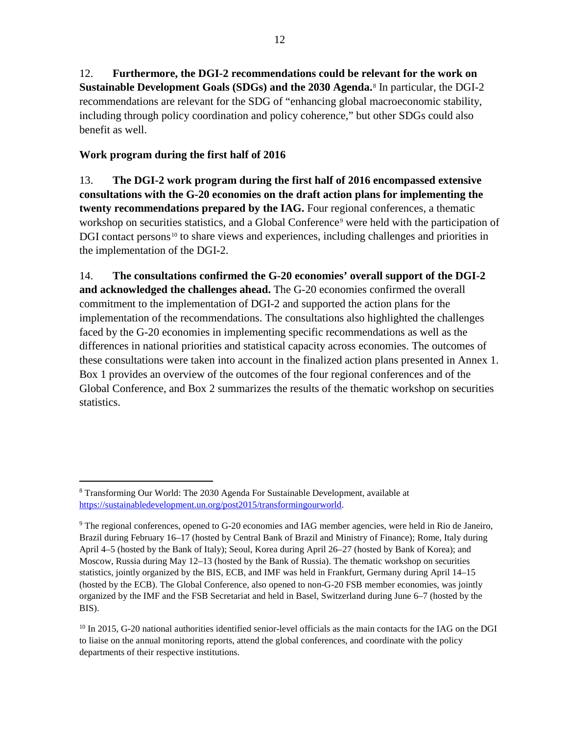12. **Furthermore, the DGI-2 recommendations could be relevant for the work on Sustainable Development Goals (SDGs) and the 2030 Agenda.**[8](#page-11-0) In particular, the DGI-2 recommendations are relevant for the SDG of "enhancing global macroeconomic stability, including through policy coordination and policy coherence," but other SDGs could also benefit as well.

# **Work program during the first half of 2016**

13. **The DGI-2 work program during the first half of 2016 encompassed extensive consultations with the G-20 economies on the draft action plans for implementing the twenty recommendations prepared by the IAG.** Four regional conferences, a thematic workshop on securities statistics, and a Global Conference<sup>[9](#page-11-1)</sup> were held with the participation of DGI contact persons<sup>[10](#page-11-2)</sup> to share views and experiences, including challenges and priorities in the implementation of the DGI-2.

14. **The consultations confirmed the G-20 economies' overall support of the DGI-2 and acknowledged the challenges ahead.** The G-20 economies confirmed the overall commitment to the implementation of DGI-2 and supported the action plans for the implementation of the recommendations. The consultations also highlighted the challenges faced by the G-20 economies in implementing specific recommendations as well as the differences in national priorities and statistical capacity across economies. The outcomes of these consultations were taken into account in the finalized action plans presented in Annex 1. Box 1 provides an overview of the outcomes of the four regional conferences and of the Global Conference, and Box 2 summarizes the results of the thematic workshop on securities statistics.

<span id="page-11-0"></span> <sup>8</sup> Transforming Our World: The 2030 Agenda For Sustainable Development, available at [https://sustainabledevelopment.un.org/post2015/transformingourworld.](https://sustainabledevelopment.un.org/post2015/transformingourworld)

<span id="page-11-1"></span><sup>&</sup>lt;sup>9</sup> The regional conferences, opened to G-20 economies and IAG member agencies, were held in Rio de Janeiro, Brazil during February 16–17 (hosted by Central Bank of Brazil and Ministry of Finance); Rome, Italy during April 4–5 (hosted by the Bank of Italy); Seoul, Korea during April 26–27 (hosted by Bank of Korea); and Moscow, Russia during May 12–13 (hosted by the Bank of Russia). The thematic workshop on securities statistics, jointly organized by the BIS, ECB, and IMF was held in Frankfurt, Germany during April 14–15 (hosted by the ECB). The Global Conference, also opened to non-G-20 FSB member economies, was jointly organized by the IMF and the FSB Secretariat and held in Basel, Switzerland during June 6–7 (hosted by the BIS).

<span id="page-11-2"></span><sup>&</sup>lt;sup>10</sup> In 2015, G-20 national authorities identified senior-level officials as the main contacts for the IAG on the DGI to liaise on the annual monitoring reports, attend the global conferences, and coordinate with the policy departments of their respective institutions.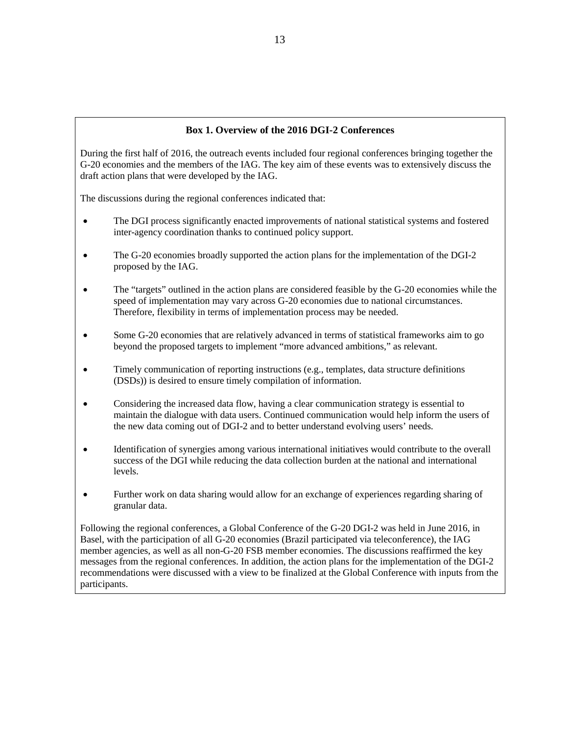#### **Box 1. Overview of the 2016 DGI-2 Conferences**

During the first half of 2016, the outreach events included four regional conferences bringing together the G-20 economies and the members of the IAG. The key aim of these events was to extensively discuss the draft action plans that were developed by the IAG.

The discussions during the regional conferences indicated that:

- The DGI process significantly enacted improvements of national statistical systems and fostered inter-agency coordination thanks to continued policy support.
- The G-20 economies broadly supported the action plans for the implementation of the DGI-2 proposed by the IAG.
- The "targets" outlined in the action plans are considered feasible by the G-20 economies while the speed of implementation may vary across G-20 economies due to national circumstances. Therefore, flexibility in terms of implementation process may be needed.
- Some G-20 economies that are relatively advanced in terms of statistical frameworks aim to go beyond the proposed targets to implement "more advanced ambitions," as relevant.
- Timely communication of reporting instructions (e.g., templates, data structure definitions (DSDs)) is desired to ensure timely compilation of information.
- Considering the increased data flow, having a clear communication strategy is essential to maintain the dialogue with data users. Continued communication would help inform the users of the new data coming out of DGI-2 and to better understand evolving users' needs.
- Identification of synergies among various international initiatives would contribute to the overall success of the DGI while reducing the data collection burden at the national and international levels.
- Further work on data sharing would allow for an exchange of experiences regarding sharing of granular data.

Following the regional conferences, a Global Conference of the G-20 DGI-2 was held in June 2016, in Basel, with the participation of all G-20 economies (Brazil participated via teleconference), the IAG member agencies, as well as all non-G-20 FSB member economies. The discussions reaffirmed the key messages from the regional conferences. In addition, the action plans for the implementation of the DGI-2 recommendations were discussed with a view to be finalized at the Global Conference with inputs from the participants.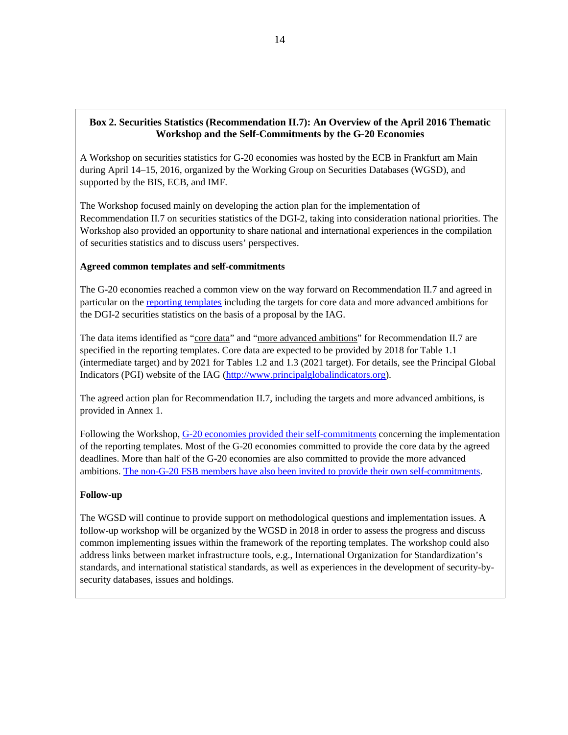#### **Box 2. Securities Statistics (Recommendation II.7): An Overview of the April 2016 Thematic Workshop and the Self-Commitments by the G-20 Economies**

A Workshop on securities statistics for G-20 economies was hosted by the ECB in Frankfurt am Main during April 14–15, 2016, organized by the Working Group on Securities Databases (WGSD), and supported by the BIS, ECB, and IMF.

The Workshop focused mainly on developing the action plan for the implementation of Recommendation II.7 on securities statistics of the DGI-2, taking into consideration national priorities. The Workshop also provided an opportunity to share national and international experiences in the compilation of securities statistics and to discuss users' perspectives.

#### **Agreed common templates and self-commitments**

The G-20 economies reached a common view on the way forward on Recommendation II.7 and agreed in particular on th[e reporting templates](http://data.imf.org/api/document/download?key=61043582) including the targets for core data and more advanced ambitions for the DGI-2 securities statistics on the basis of a proposal by the IAG.

The data items identified as "core data" and "more advanced ambitions" for Recommendation II.7 are specified in the reporting templates. Core data are expected to be provided by 2018 for Table 1.1 (intermediate target) and by 2021 for Tables 1.2 and 1.3 (2021 target). For details, see the Principal Global Indicators (PGI) website of the IAG [\(http://www.principalglobalindicators.org\)](http://www.principalglobalindicators.org/).

The agreed action plan for Recommendation II.7, including the targets and more advanced ambitions, is provided in Annex 1.

Following the Workshop, [G-20 economies provided their](http://data.imf.org/api/document/download?key=61094353) self-commitments concerning the implementation of the reporting templates. Most of the G-20 economies committed to provide the core data by the agreed deadlines. More than half of the G-20 economies are also committed to provide the more advanced ambitions. [The non-G-20 FSB members have also been invited to provide their own self-commitments.](http://data.imf.org/api/document/download?key=61102973)

#### **Follow-up**

The WGSD will continue to provide support on methodological questions and implementation issues. A follow-up workshop will be organized by the WGSD in 2018 in order to assess the progress and discuss common implementing issues within the framework of the reporting templates. The workshop could also address links between market infrastructure tools, e.g., International Organization for Standardization's standards, and international statistical standards, as well as experiences in the development of security-bysecurity databases, issues and holdings.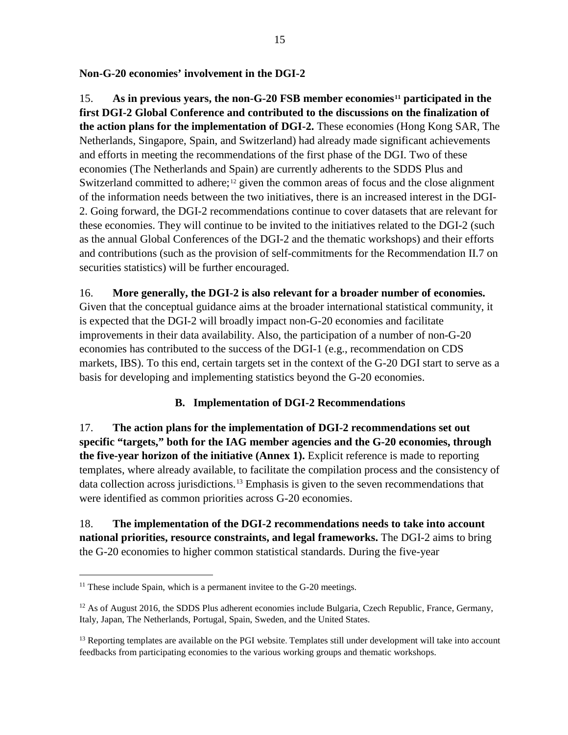**Non-G-20 economies' involvement in the DGI-2**

15. **As in previous years, the non-G-20 FSB member economies[11](#page-14-0) participated in the first DGI-2 Global Conference and contributed to the discussions on the finalization of the action plans for the implementation of DGI-2.** These economies (Hong Kong SAR, The Netherlands, Singapore, Spain, and Switzerland) had already made significant achievements and efforts in meeting the recommendations of the first phase of the DGI. Two of these economies (The Netherlands and Spain) are currently adherents to the SDDS Plus and Switzerland committed to adhere;<sup>[12](#page-14-1)</sup> given the common areas of focus and the close alignment of the information needs between the two initiatives, there is an increased interest in the DGI-2. Going forward, the DGI-2 recommendations continue to cover datasets that are relevant for these economies. They will continue to be invited to the initiatives related to the DGI-2 (such as the annual Global Conferences of the DGI-2 and the thematic workshops) and their efforts and contributions (such as the provision of self-commitments for the Recommendation II.7 on securities statistics) will be further encouraged.

# 16. **More generally, the DGI-2 is also relevant for a broader number of economies.**

Given that the conceptual guidance aims at the broader international statistical community, it is expected that the DGI-2 will broadly impact non-G-20 economies and facilitate improvements in their data availability. Also, the participation of a number of non-G-20 economies has contributed to the success of the DGI-1 (e.g., recommendation on CDS markets, IBS). To this end, certain targets set in the context of the G-20 DGI start to serve as a basis for developing and implementing statistics beyond the G-20 economies.

# **B. Implementation of DGI-2 Recommendations**

17. **The action plans for the implementation of DGI-2 recommendations set out specific "targets," both for the IAG member agencies and the G-20 economies, through the five-year horizon of the initiative (Annex 1).** Explicit reference is made to reporting templates, where already available, to facilitate the compilation process and the consistency of data collection across jurisdictions.[13](#page-14-2) Emphasis is given to the seven recommendations that were identified as common priorities across G-20 economies.

18. **The implementation of the DGI-2 recommendations needs to take into account national priorities, resource constraints, and legal frameworks.** The DGI-2 aims to bring the G-20 economies to higher common statistical standards. During the five-year

<span id="page-14-0"></span> $11$  These include Spain, which is a permanent invitee to the G-20 meetings.

<span id="page-14-1"></span><sup>&</sup>lt;sup>12</sup> As of August 2016, the SDDS Plus adherent economies include Bulgaria, Czech Republic, France, Germany, Italy, Japan, The Netherlands, Portugal, Spain, Sweden, and the United States.

<span id="page-14-2"></span> $<sup>13</sup>$  Reporting templates are available on the PGI website. Templates still under development will take into account</sup> feedbacks from participating economies to the various working groups and thematic workshops.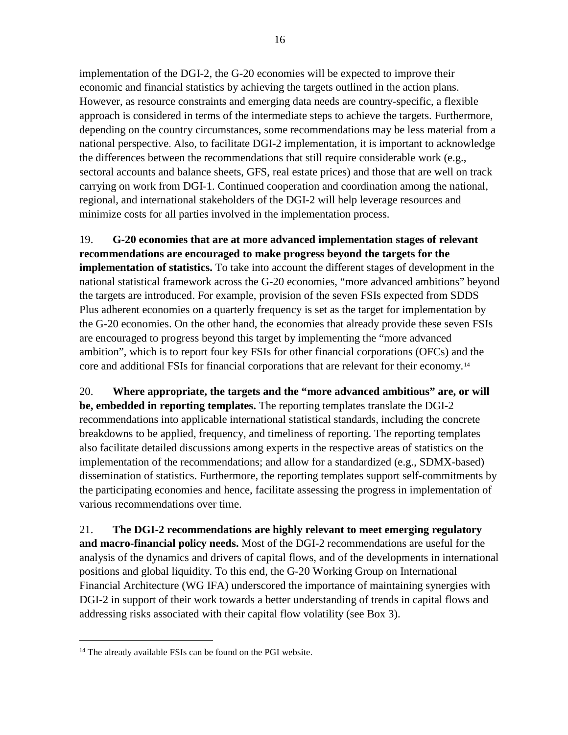implementation of the DGI-2, the G-20 economies will be expected to improve their economic and financial statistics by achieving the targets outlined in the action plans. However, as resource constraints and emerging data needs are country-specific, a flexible approach is considered in terms of the intermediate steps to achieve the targets. Furthermore, depending on the country circumstances, some recommendations may be less material from a national perspective. Also, to facilitate DGI-2 implementation, it is important to acknowledge the differences between the recommendations that still require considerable work (e.g., sectoral accounts and balance sheets, GFS, real estate prices) and those that are well on track carrying on work from DGI-1. Continued cooperation and coordination among the national, regional, and international stakeholders of the DGI-2 will help leverage resources and minimize costs for all parties involved in the implementation process.

19. **G-20 economies that are at more advanced implementation stages of relevant recommendations are encouraged to make progress beyond the targets for the implementation of statistics.** To take into account the different stages of development in the national statistical framework across the G-20 economies, "more advanced ambitions" beyond the targets are introduced. For example, provision of the seven FSIs expected from SDDS Plus adherent economies on a quarterly frequency is set as the target for implementation by the G-20 economies. On the other hand, the economies that already provide these seven FSIs are encouraged to progress beyond this target by implementing the "more advanced ambition", which is to report four key FSIs for other financial corporations (OFCs) and the core and additional FSIs for financial corporations that are relevant for their economy.[14](#page-15-0)

20. **Where appropriate, the targets and the "more advanced ambitious" are, or will be, embedded in reporting templates.** The reporting templates translate the DGI-2 recommendations into applicable international statistical standards, including the concrete breakdowns to be applied, frequency, and timeliness of reporting. The reporting templates also facilitate detailed discussions among experts in the respective areas of statistics on the implementation of the recommendations; and allow for a standardized (e.g., SDMX-based) dissemination of statistics. Furthermore, the reporting templates support self-commitments by the participating economies and hence, facilitate assessing the progress in implementation of various recommendations over time.

21. **The DGI-2 recommendations are highly relevant to meet emerging regulatory and macro-financial policy needs.** Most of the DGI-2 recommendations are useful for the analysis of the dynamics and drivers of capital flows, and of the developments in international positions and global liquidity. To this end, the G-20 Working Group on International Financial Architecture (WG IFA) underscored the importance of maintaining synergies with DGI-2 in support of their work towards a better understanding of trends in capital flows and addressing risks associated with their capital flow volatility (see Box 3).

<span id="page-15-0"></span><sup>&</sup>lt;sup>14</sup> The already available FSIs can be found on the PGI website.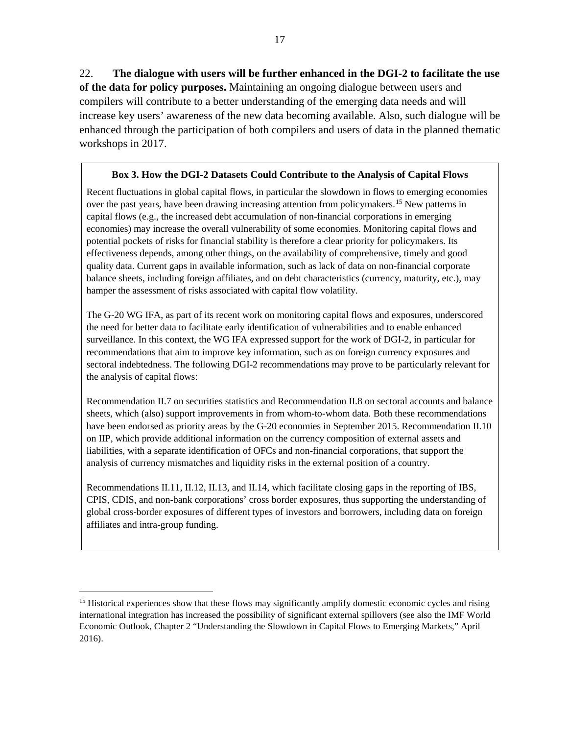22. **The dialogue with users will be further enhanced in the DGI-2 to facilitate the use of the data for policy purposes.** Maintaining an ongoing dialogue between users and compilers will contribute to a better understanding of the emerging data needs and will increase key users' awareness of the new data becoming available. Also, such dialogue will be enhanced through the participation of both compilers and users of data in the planned thematic workshops in 2017.

#### **Box 3. How the DGI-2 Datasets Could Contribute to the Analysis of Capital Flows**

Recent fluctuations in global capital flows, in particular the slowdown in flows to emerging economies over the past years, have been drawing increasing attention from policymakers.[15](#page-16-0) New patterns in capital flows (e.g., the increased debt accumulation of non-financial corporations in emerging economies) may increase the overall vulnerability of some economies. Monitoring capital flows and potential pockets of risks for financial stability is therefore a clear priority for policymakers. Its effectiveness depends, among other things, on the availability of comprehensive, timely and good quality data. Current gaps in available information, such as lack of data on non-financial corporate balance sheets, including foreign affiliates, and on debt characteristics (currency, maturity, etc.), may hamper the assessment of risks associated with capital flow volatility.

The G-20 WG IFA, as part of its recent work on monitoring capital flows and exposures, underscored the need for better data to facilitate early identification of vulnerabilities and to enable enhanced surveillance. In this context, the WG IFA expressed support for the work of DGI-2, in particular for recommendations that aim to improve key information, such as on foreign currency exposures and sectoral indebtedness. The following DGI-2 recommendations may prove to be particularly relevant for the analysis of capital flows:

Recommendation II.7 on securities statistics and Recommendation II.8 on sectoral accounts and balance sheets, which (also) support improvements in from whom-to-whom data. Both these recommendations have been endorsed as priority areas by the G-20 economies in September 2015. Recommendation II.10 on IIP, which provide additional information on the currency composition of external assets and liabilities, with a separate identification of OFCs and non-financial corporations, that support the analysis of currency mismatches and liquidity risks in the external position of a country.

Recommendations II.11, II.12, II.13, and II.14, which facilitate closing gaps in the reporting of IBS, CPIS, CDIS, and non-bank corporations' cross border exposures, thus supporting the understanding of global cross-border exposures of different types of investors and borrowers, including data on foreign affiliates and intra-group funding.

<span id="page-16-0"></span><sup>&</sup>lt;sup>15</sup> Historical experiences show that these flows may significantly amplify domestic economic cycles and rising international integration has increased the possibility of significant external spillovers (see also the IMF World Economic Outlook, Chapter 2 "Understanding the Slowdown in Capital Flows to Emerging Markets," April 2016).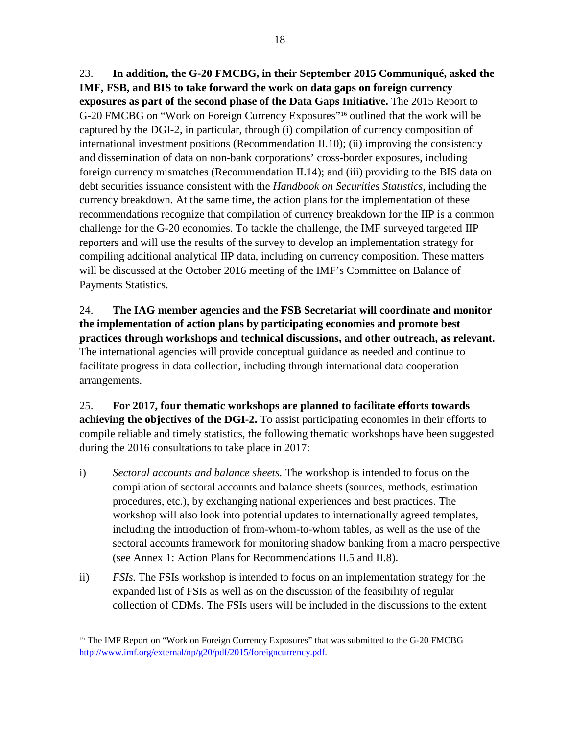23. **In addition, the G-20 FMCBG, in their September 2015 Communiqué, asked the IMF, FSB, and BIS to take forward the work on data gaps on foreign currency exposures as part of the second phase of the Data Gaps Initiative.** The 2015 Report to G-20 FMCBG on "Work on Foreign Currency Exposures"[16](#page-17-0) outlined that the work will be captured by the DGI-2, in particular, through (i) compilation of currency composition of international investment positions (Recommendation II.10); (ii) improving the consistency and dissemination of data on non-bank corporations' cross-border exposures, including foreign currency mismatches (Recommendation II.14); and (iii) providing to the BIS data on debt securities issuance consistent with the *Handbook on Securities Statistics*, including the currency breakdown. At the same time, the action plans for the implementation of these recommendations recognize that compilation of currency breakdown for the IIP is a common challenge for the G-20 economies. To tackle the challenge, the IMF surveyed targeted IIP reporters and will use the results of the survey to develop an implementation strategy for compiling additional analytical IIP data, including on currency composition. These matters will be discussed at the October 2016 meeting of the IMF's Committee on Balance of Payments Statistics.

24. **The IAG member agencies and the FSB Secretariat will coordinate and monitor the implementation of action plans by participating economies and promote best practices through workshops and technical discussions, and other outreach, as relevant.**  The international agencies will provide conceptual guidance as needed and continue to facilitate progress in data collection, including through international data cooperation arrangements.

25. **For 2017, four thematic workshops are planned to facilitate efforts towards achieving the objectives of the DGI-2.** To assist participating economies in their efforts to compile reliable and timely statistics, the following thematic workshops have been suggested during the 2016 consultations to take place in 2017:

- i) *Sectoral accounts and balance sheets.* The workshop is intended to focus on the compilation of sectoral accounts and balance sheets (sources, methods, estimation procedures, etc.), by exchanging national experiences and best practices. The workshop will also look into potential updates to internationally agreed templates, including the introduction of from-whom-to-whom tables, as well as the use of the sectoral accounts framework for monitoring shadow banking from a macro perspective (see Annex 1: Action Plans for Recommendations II.5 and II.8).
- ii) *FSIs.* The FSIs workshop is intended to focus on an implementation strategy for the expanded list of FSIs as well as on the discussion of the feasibility of regular collection of CDMs. The FSIs users will be included in the discussions to the extent

<span id="page-17-0"></span><sup>&</sup>lt;sup>16</sup> The IMF Report on "Work on Foreign Currency Exposures" that was submitted to the G-20 FMCBG [http://www.imf.org/external/np/g20/pdf/2015/foreigncurrency.pdf.](http://www.imf.org/external/np/g20/pdf/2015/foreigncurrency.pdf)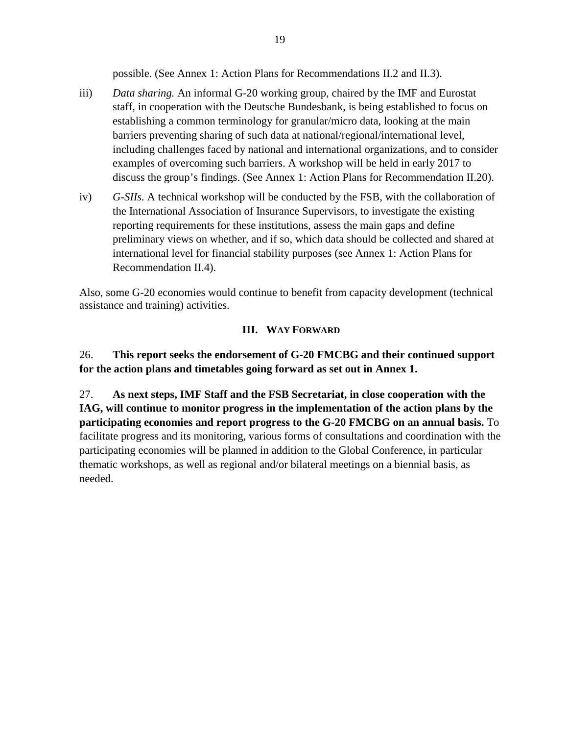possible. (See Annex 1: Action Plans for Recommendations II.2 and II.3).

- iii) *Data sharing.* An informal G-20 working group, chaired by the IMF and Eurostat staff, in cooperation with the Deutsche Bundesbank, is being established to focus on establishing a common terminology for granular/micro data, looking at the main barriers preventing sharing of such data at national/regional/international level, including challenges faced by national and international organizations, and to consider examples of overcoming such barriers. A workshop will be held in early 2017 to discuss the group's findings. (See Annex 1: Action Plans for Recommendation II.20).
- iv) *G-SIIs.* A technical workshop will be conducted by the FSB, with the collaboration of the International Association of Insurance Supervisors, to investigate the existing reporting requirements for these institutions, assess the main gaps and define preliminary views on whether, and if so, which data should be collected and shared at international level for financial stability purposes (see Annex 1: Action Plans for Recommendation II.4).

Also, some G-20 economies would continue to benefit from capacity development (technical assistance and training) activities.

# **III. WAY FORWARD**

26. **This report seeks the endorsement of G-20 FMCBG and their continued support for the action plans and timetables going forward as set out in Annex 1.** 

27. **As next steps, IMF Staff and the FSB Secretariat, in close cooperation with the IAG, will continue to monitor progress in the implementation of the action plans by the participating economies and report progress to the G-20 FMCBG on an annual basis.** To facilitate progress and its monitoring, various forms of consultations and coordination with the participating economies will be planned in addition to the Global Conference, in particular thematic workshops, as well as regional and/or bilateral meetings on a biennial basis, as needed.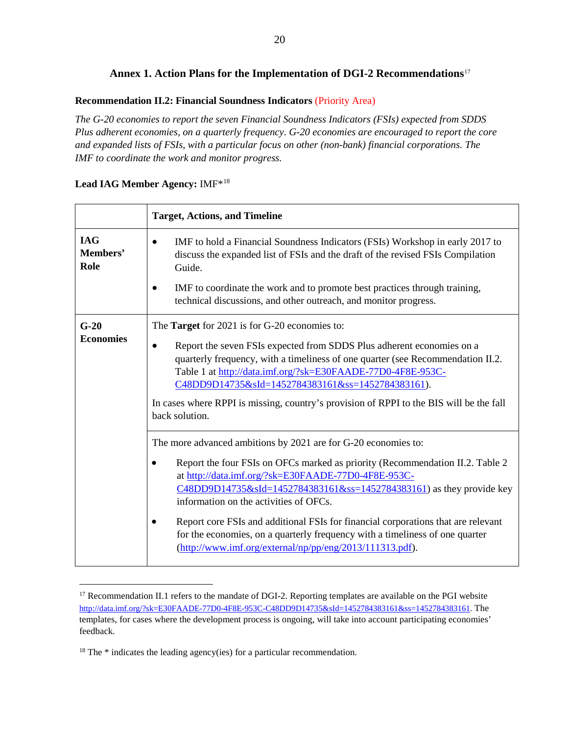# **Annex 1. Action Plans for the Implementation of DGI-2 Recommendations**[17](#page-19-0)

#### **Recommendation II.2: Financial Soundness Indicators** (Priority Area)

*The G-20 economies to report the seven Financial Soundness Indicators (FSIs) expected from SDDS Plus adherent economies, on a quarterly frequency. G-20 economies are encouraged to report the core and expanded lists of FSIs, with a particular focus on other (non-bank) financial corporations. The IMF to coordinate the work and monitor progress.*

|                                | <b>Target, Actions, and Timeline</b>                                                                                                                                                                                                                                                                                                                                                                                                                                                                                                                      |
|--------------------------------|-----------------------------------------------------------------------------------------------------------------------------------------------------------------------------------------------------------------------------------------------------------------------------------------------------------------------------------------------------------------------------------------------------------------------------------------------------------------------------------------------------------------------------------------------------------|
| <b>IAG</b><br>Members'<br>Role | IMF to hold a Financial Soundness Indicators (FSIs) Workshop in early 2017 to<br>$\bullet$<br>discuss the expanded list of FSIs and the draft of the revised FSIs Compilation<br>Guide.                                                                                                                                                                                                                                                                                                                                                                   |
|                                | IMF to coordinate the work and to promote best practices through training,<br>technical discussions, and other outreach, and monitor progress.                                                                                                                                                                                                                                                                                                                                                                                                            |
| $G-20$                         | The <b>Target</b> for 2021 is for G-20 economies to:                                                                                                                                                                                                                                                                                                                                                                                                                                                                                                      |
| <b>Economies</b>               | Report the seven FSIs expected from SDDS Plus adherent economies on a<br>$\bullet$<br>quarterly frequency, with a timeliness of one quarter (see Recommendation II.2.<br>Table 1 at http://data.imf.org/?sk=E30FAADE-77D0-4F8E-953C-<br>C48DD9D14735&sId=1452784383161&ss=1452784383161).<br>In cases where RPPI is missing, country's provision of RPPI to the BIS will be the fall<br>back solution.                                                                                                                                                    |
|                                | The more advanced ambitions by 2021 are for G-20 economies to:<br>Report the four FSIs on OFCs marked as priority (Recommendation II.2. Table 2<br>at http://data.imf.org/?sk=E30FAADE-77D0-4F8E-953C-<br>$C48DD9D14735&sId=1452784383161&s=1452784383161$ as they provide key<br>information on the activities of OFCs.<br>Report core FSIs and additional FSIs for financial corporations that are relevant<br>for the economies, on a quarterly frequency with a timeliness of one quarter<br>(http://www.imf.org/external/np/pp/eng/2013/111313.pdf). |

#### **Lead IAG Member Agency:** IMF\*[18](#page-19-1)

<span id="page-19-0"></span><sup>&</sup>lt;sup>17</sup> Recommendation II.1 refers to the mandate of DGI-2. Reporting templates are available on the PGI website [http://data.imf.org/?sk=E30FAADE-77D0-4F8E-953C-C48DD9D14735&sId=1452784383161&ss=1452784383161.](http://data.imf.org/?sk=E30FAADE-77D0-4F8E-953C-C48DD9D14735&sId=1452784383161&ss=1452784383161) The templates, for cases where the development process is ongoing, will take into account participating economies' feedback.

<span id="page-19-1"></span><sup>&</sup>lt;sup>18</sup> The \* indicates the leading agency(ies) for a particular recommendation.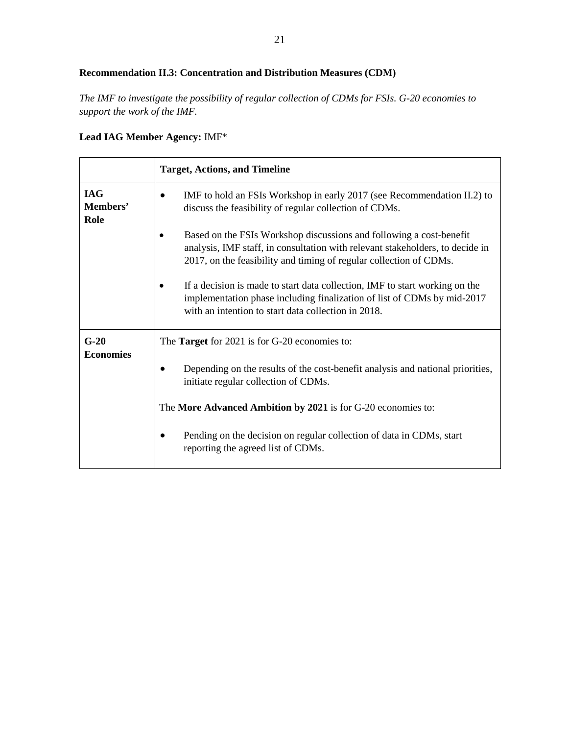# **Recommendation II.3: Concentration and Distribution Measures (CDM)**

*The IMF to investigate the possibility of regular collection of CDMs for FSIs. G-20 economies to support the work of the IMF.*

# **Lead IAG Member Agency:** IMF\*

|                                | <b>Target, Actions, and Timeline</b>                                                                                                                                                                                       |
|--------------------------------|----------------------------------------------------------------------------------------------------------------------------------------------------------------------------------------------------------------------------|
| <b>IAG</b><br>Members'<br>Role | IMF to hold an FSIs Workshop in early 2017 (see Recommendation II.2) to<br>discuss the feasibility of regular collection of CDMs.                                                                                          |
|                                | Based on the FSIs Workshop discussions and following a cost-benefit<br>analysis, IMF staff, in consultation with relevant stakeholders, to decide in<br>2017, on the feasibility and timing of regular collection of CDMs. |
|                                | If a decision is made to start data collection, IMF to start working on the<br>implementation phase including finalization of list of CDMs by mid-2017<br>with an intention to start data collection in 2018.              |
| $G-20$                         | The <b>Target</b> for 2021 is for G-20 economies to:                                                                                                                                                                       |
| <b>Economies</b>               | Depending on the results of the cost-benefit analysis and national priorities,<br>initiate regular collection of CDMs.                                                                                                     |
|                                | The More Advanced Ambition by 2021 is for G-20 economies to:                                                                                                                                                               |
|                                | Pending on the decision on regular collection of data in CDMs, start<br>reporting the agreed list of CDMs.                                                                                                                 |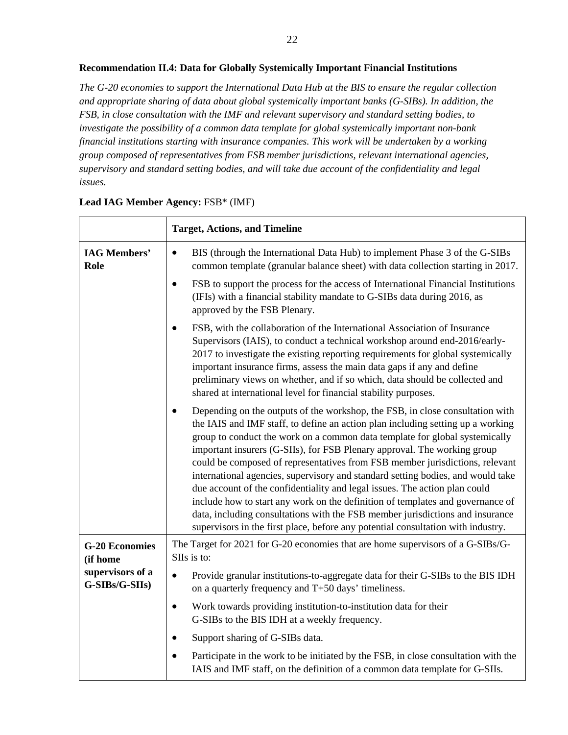#### **Recommendation II.4: Data for Globally Systemically Important Financial Institutions**

*The G-20 economies to support the International Data Hub at the BIS to ensure the regular collection and appropriate sharing of data about global systemically important banks (G-SIBs). In addition, the FSB, in close consultation with the IMF and relevant supervisory and standard setting bodies, to investigate the possibility of a common data template for global systemically important non-bank financial institutions starting with insurance companies. This work will be undertaken by a working group composed of representatives from FSB member jurisdictions, relevant international agencies, supervisory and standard setting bodies, and will take due account of the confidentiality and legal issues.*

|                                    | <b>Target, Actions, and Timeline</b>                                                                                                                                                                                                                                                                                                                                                                                                                                                                                                                                                                                                                                                                                                                                                                                                             |
|------------------------------------|--------------------------------------------------------------------------------------------------------------------------------------------------------------------------------------------------------------------------------------------------------------------------------------------------------------------------------------------------------------------------------------------------------------------------------------------------------------------------------------------------------------------------------------------------------------------------------------------------------------------------------------------------------------------------------------------------------------------------------------------------------------------------------------------------------------------------------------------------|
| <b>IAG Members'</b><br>Role        | BIS (through the International Data Hub) to implement Phase 3 of the G-SIBs<br>$\bullet$<br>common template (granular balance sheet) with data collection starting in 2017.                                                                                                                                                                                                                                                                                                                                                                                                                                                                                                                                                                                                                                                                      |
|                                    | FSB to support the process for the access of International Financial Institutions<br>$\bullet$<br>(IFIs) with a financial stability mandate to G-SIBs data during 2016, as<br>approved by the FSB Plenary.                                                                                                                                                                                                                                                                                                                                                                                                                                                                                                                                                                                                                                       |
|                                    | FSB, with the collaboration of the International Association of Insurance<br>$\bullet$<br>Supervisors (IAIS), to conduct a technical workshop around end-2016/early-<br>2017 to investigate the existing reporting requirements for global systemically<br>important insurance firms, assess the main data gaps if any and define<br>preliminary views on whether, and if so which, data should be collected and<br>shared at international level for financial stability purposes.                                                                                                                                                                                                                                                                                                                                                              |
|                                    | Depending on the outputs of the workshop, the FSB, in close consultation with<br>$\bullet$<br>the IAIS and IMF staff, to define an action plan including setting up a working<br>group to conduct the work on a common data template for global systemically<br>important insurers (G-SIIs), for FSB Plenary approval. The working group<br>could be composed of representatives from FSB member jurisdictions, relevant<br>international agencies, supervisory and standard setting bodies, and would take<br>due account of the confidentiality and legal issues. The action plan could<br>include how to start any work on the definition of templates and governance of<br>data, including consultations with the FSB member jurisdictions and insurance<br>supervisors in the first place, before any potential consultation with industry. |
| <b>G-20 Economies</b><br>(if home  | The Target for 2021 for G-20 economies that are home supervisors of a G-SIBs/G-<br>SIIs is to:                                                                                                                                                                                                                                                                                                                                                                                                                                                                                                                                                                                                                                                                                                                                                   |
| supervisors of a<br>G-SIBs/G-SIIs) | Provide granular institutions-to-aggregate data for their G-SIBs to the BIS IDH<br>$\bullet$<br>on a quarterly frequency and T+50 days' timeliness.                                                                                                                                                                                                                                                                                                                                                                                                                                                                                                                                                                                                                                                                                              |
|                                    | Work towards providing institution-to-institution data for their<br>$\bullet$<br>G-SIBs to the BIS IDH at a weekly frequency.                                                                                                                                                                                                                                                                                                                                                                                                                                                                                                                                                                                                                                                                                                                    |
|                                    | Support sharing of G-SIBs data.<br>$\bullet$                                                                                                                                                                                                                                                                                                                                                                                                                                                                                                                                                                                                                                                                                                                                                                                                     |
|                                    | Participate in the work to be initiated by the FSB, in close consultation with the<br>IAIS and IMF staff, on the definition of a common data template for G-SIIs.                                                                                                                                                                                                                                                                                                                                                                                                                                                                                                                                                                                                                                                                                |

#### **Lead IAG Member Agency:** FSB\* (IMF)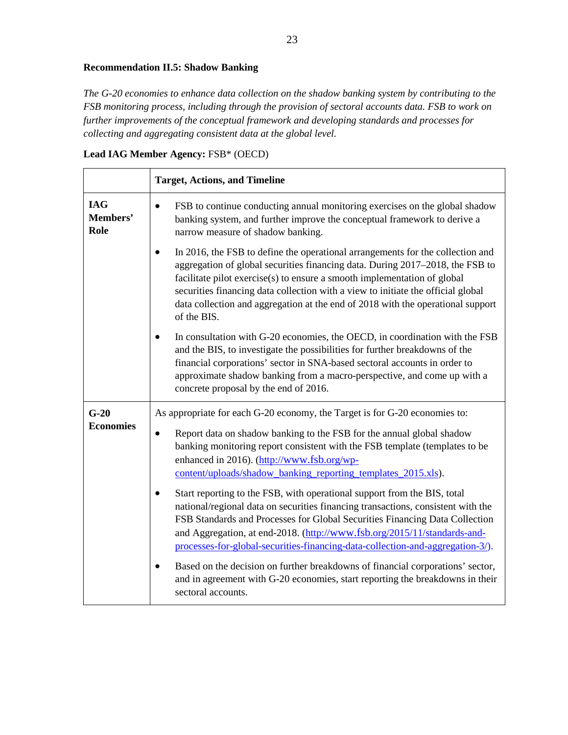# **Recommendation II.5: Shadow Banking**

*The G-20 economies to enhance data collection on the shadow banking system by contributing to the FSB monitoring process, including through the provision of sectoral accounts data. FSB to work on further improvements of the conceptual framework and developing standards and processes for collecting and aggregating consistent data at the global level.*

| Lead IAG Member Agency: FSB* (OECD) |  |  |  |
|-------------------------------------|--|--|--|
|-------------------------------------|--|--|--|

|                                | <b>Target, Actions, and Timeline</b>                                                                                                                                                                                                                                                                                                                                                                                                                                                                                                                                                                                                                                                                                                                                                                                                                                                                                                                    |
|--------------------------------|---------------------------------------------------------------------------------------------------------------------------------------------------------------------------------------------------------------------------------------------------------------------------------------------------------------------------------------------------------------------------------------------------------------------------------------------------------------------------------------------------------------------------------------------------------------------------------------------------------------------------------------------------------------------------------------------------------------------------------------------------------------------------------------------------------------------------------------------------------------------------------------------------------------------------------------------------------|
| <b>IAG</b><br>Members'<br>Role | FSB to continue conducting annual monitoring exercises on the global shadow<br>$\bullet$<br>banking system, and further improve the conceptual framework to derive a<br>narrow measure of shadow banking.                                                                                                                                                                                                                                                                                                                                                                                                                                                                                                                                                                                                                                                                                                                                               |
|                                | In 2016, the FSB to define the operational arrangements for the collection and<br>$\bullet$<br>aggregation of global securities financing data. During 2017–2018, the FSB to<br>facilitate pilot exercise(s) to ensure a smooth implementation of global<br>securities financing data collection with a view to initiate the official global<br>data collection and aggregation at the end of 2018 with the operational support<br>of the BIS.                                                                                                                                                                                                                                                                                                                                                                                                                                                                                                          |
|                                | In consultation with G-20 economies, the OECD, in coordination with the FSB<br>and the BIS, to investigate the possibilities for further breakdowns of the<br>financial corporations' sector in SNA-based sectoral accounts in order to<br>approximate shadow banking from a macro-perspective, and come up with a<br>concrete proposal by the end of 2016.                                                                                                                                                                                                                                                                                                                                                                                                                                                                                                                                                                                             |
| $G-20$<br><b>Economies</b>     | As appropriate for each G-20 economy, the Target is for G-20 economies to:<br>Report data on shadow banking to the FSB for the annual global shadow<br>banking monitoring report consistent with the FSB template (templates to be<br>enhanced in 2016). (http://www.fsb.org/wp-<br>content/uploads/shadow_banking_reporting_templates_2015.xls).<br>Start reporting to the FSB, with operational support from the BIS, total<br>national/regional data on securities financing transactions, consistent with the<br>FSB Standards and Processes for Global Securities Financing Data Collection<br>and Aggregation, at end-2018. (http://www.fsb.org/2015/11/standards-and-<br>processes-for-global-securities-financing-data-collection-and-aggregation-3/).<br>Based on the decision on further breakdowns of financial corporations' sector,<br>and in agreement with G-20 economies, start reporting the breakdowns in their<br>sectoral accounts. |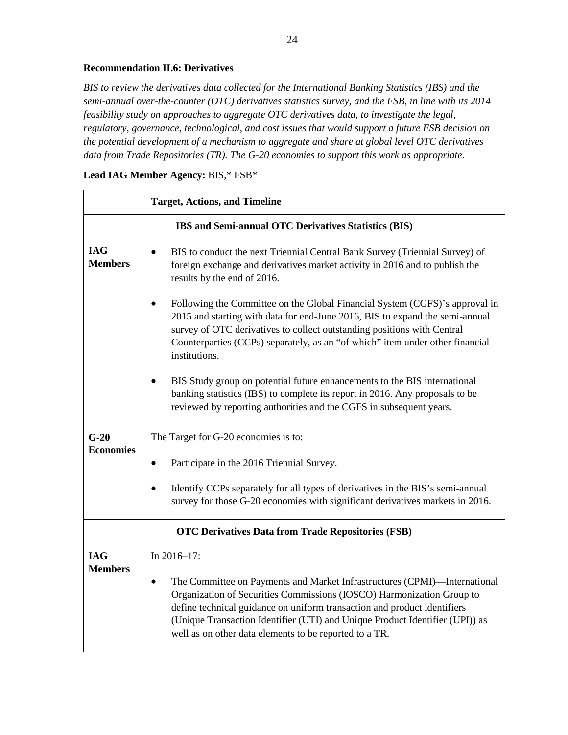#### **Recommendation II.6: Derivatives**

*BIS to review the derivatives data collected for the International Banking Statistics (IBS) and the semi-annual over-the-counter (OTC) derivatives statistics survey, and the FSB, in line with its 2014 feasibility study on approaches to aggregate OTC derivatives data, to investigate the legal, regulatory, governance, technological, and cost issues that would support a future FSB decision on the potential development of a mechanism to aggregate and share at global level OTC derivatives data from Trade Repositories (TR). The G-20 economies to support this work as appropriate.*

|                                                           | <b>Target, Actions, and Timeline</b>                                                                                                                                                                                                                                                                                                                                                  |  |
|-----------------------------------------------------------|---------------------------------------------------------------------------------------------------------------------------------------------------------------------------------------------------------------------------------------------------------------------------------------------------------------------------------------------------------------------------------------|--|
|                                                           | IBS and Semi-annual OTC Derivatives Statistics (BIS)                                                                                                                                                                                                                                                                                                                                  |  |
| <b>IAG</b><br><b>Members</b>                              | BIS to conduct the next Triennial Central Bank Survey (Triennial Survey) of<br>$\bullet$<br>foreign exchange and derivatives market activity in 2016 and to publish the<br>results by the end of 2016.                                                                                                                                                                                |  |
|                                                           | Following the Committee on the Global Financial System (CGFS)'s approval in<br>$\bullet$<br>2015 and starting with data for end-June 2016, BIS to expand the semi-annual<br>survey of OTC derivatives to collect outstanding positions with Central<br>Counterparties (CCPs) separately, as an "of which" item under other financial<br>institutions.                                 |  |
|                                                           | BIS Study group on potential future enhancements to the BIS international<br>banking statistics (IBS) to complete its report in 2016. Any proposals to be<br>reviewed by reporting authorities and the CGFS in subsequent years.                                                                                                                                                      |  |
| $G-20$                                                    | The Target for G-20 economies is to:                                                                                                                                                                                                                                                                                                                                                  |  |
| <b>Economies</b>                                          | Participate in the 2016 Triennial Survey.<br>$\bullet$                                                                                                                                                                                                                                                                                                                                |  |
|                                                           | Identify CCPs separately for all types of derivatives in the BIS's semi-annual<br>$\bullet$<br>survey for those G-20 economies with significant derivatives markets in 2016.                                                                                                                                                                                                          |  |
| <b>OTC Derivatives Data from Trade Repositories (FSB)</b> |                                                                                                                                                                                                                                                                                                                                                                                       |  |
| <b>IAG</b>                                                | In $2016 - 17$ :                                                                                                                                                                                                                                                                                                                                                                      |  |
| <b>Members</b>                                            | The Committee on Payments and Market Infrastructures (CPMI)—International<br>$\bullet$<br>Organization of Securities Commissions (IOSCO) Harmonization Group to<br>define technical guidance on uniform transaction and product identifiers<br>(Unique Transaction Identifier (UTI) and Unique Product Identifier (UPI)) as<br>well as on other data elements to be reported to a TR. |  |

# **Lead IAG Member Agency:** BIS,\* FSB\*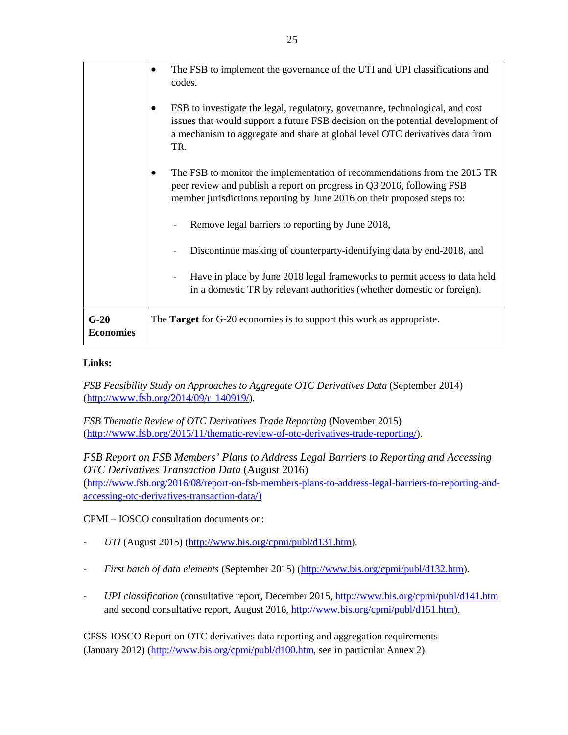|                            | The FSB to implement the governance of the UTI and UPI classifications and                                                                                                                                                                              |
|----------------------------|---------------------------------------------------------------------------------------------------------------------------------------------------------------------------------------------------------------------------------------------------------|
|                            | codes.                                                                                                                                                                                                                                                  |
|                            | FSB to investigate the legal, regulatory, governance, technological, and cost<br>issues that would support a future FSB decision on the potential development of<br>a mechanism to aggregate and share at global level OTC derivatives data from<br>TR. |
|                            | The FSB to monitor the implementation of recommendations from the 2015 TR<br>peer review and publish a report on progress in Q3 2016, following FSB<br>member jurisdictions reporting by June 2016 on their proposed steps to:                          |
|                            | Remove legal barriers to reporting by June 2018,                                                                                                                                                                                                        |
|                            | Discontinue masking of counterparty-identifying data by end-2018, and                                                                                                                                                                                   |
|                            | Have in place by June 2018 legal frameworks to permit access to data held<br>in a domestic TR by relevant authorities (whether domestic or foreign).                                                                                                    |
| $G-20$<br><b>Economies</b> | The Target for G-20 economies is to support this work as appropriate.                                                                                                                                                                                   |

#### **Links:**

*FSB Feasibility Study on Approaches to Aggregate OTC Derivatives Data* (September 2014) [\(http://www.fsb.org/2014/09/r\\_140919/\)](http://www.financialstabilityboard.org/2014/09/r_140919/).

*FSB Thematic Review of OTC Derivatives Trade Reporting* (November 2015) [\(http://www.fsb.org/2015/11/thematic-review-of-otc-derivatives-trade-reporting/\)](http://www.financialstabilityboard.org/2015/11/thematic-review-of-otc-derivatives-trade-reporting/).

*FSB Report on FSB Members' Plans to Address Legal Barriers to Reporting and Accessing OTC Derivatives Transaction Data* (August 2016) [\(http://www.fsb.org/2016/08/report-on-fsb-members-plans-to-address-legal-barriers-to-reporting-and](http://www.fsb.org/2016/08/report-on-fsb-members-plans-to-address-legal-barriers-to-reporting-and-accessing-otc-derivatives-transaction-data/)[accessing-otc-derivatives-transaction-data/\)](http://www.fsb.org/2016/08/report-on-fsb-members-plans-to-address-legal-barriers-to-reporting-and-accessing-otc-derivatives-transaction-data/)

CPMI – IOSCO consultation documents on:

- *UTI* (August 2015) [\(http://www.bis.org/cpmi/publ/d131.htm\)](http://www.bis.org/cpmi/publ/d131.htm).
- *First batch of data elements* (September 2015) [\(http://www.bis.org/cpmi/publ/d132.htm\)](http://www.bis.org/cpmi/publ/d132.htm).
- *UPI classification* (consultative report, December 2015,<http://www.bis.org/cpmi/publ/d141.htm> and second consultative report, August 2016, [http://www.bis.org/cpmi/publ/d151.htm\)](http://www.bis.org/cpmi/publ/d151.htm).

CPSS-IOSCO Report on OTC derivatives data reporting and aggregation requirements (January 2012) [\(http://www.bis.org/cpmi/publ/d100.htm,](http://www.bis.org/cpmi/publ/d100.htm) see in particular Annex 2).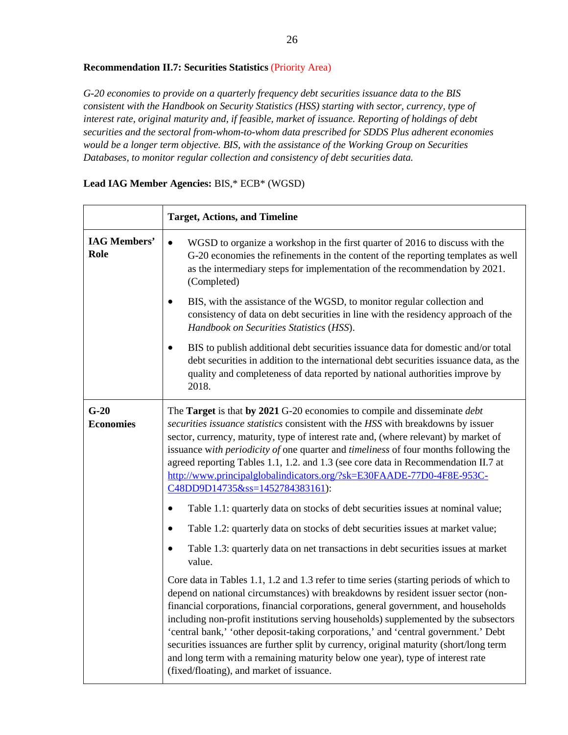#### **Recommendation II.7: Securities Statistics** (Priority Area)

*G-20 economies to provide on a quarterly frequency debt securities issuance data to the BIS consistent with the Handbook on Security Statistics (HSS) starting with sector, currency, type of interest rate, original maturity and, if feasible, market of issuance. Reporting of holdings of debt securities and the sectoral from-whom-to-whom data prescribed for SDDS Plus adherent economies would be a longer term objective. BIS, with the assistance of the Working Group on Securities Databases, to monitor regular collection and consistency of debt securities data.*

|                             | <b>Target, Actions, and Timeline</b>                                                                                                                                                                                                                                                                                                                                                                                                                                                                                                                                                                                                                                       |
|-----------------------------|----------------------------------------------------------------------------------------------------------------------------------------------------------------------------------------------------------------------------------------------------------------------------------------------------------------------------------------------------------------------------------------------------------------------------------------------------------------------------------------------------------------------------------------------------------------------------------------------------------------------------------------------------------------------------|
| <b>IAG Members'</b><br>Role | WGSD to organize a workshop in the first quarter of 2016 to discuss with the<br>$\bullet$<br>G-20 economies the refinements in the content of the reporting templates as well<br>as the intermediary steps for implementation of the recommendation by 2021.<br>(Completed)<br>BIS, with the assistance of the WGSD, to monitor regular collection and<br>consistency of data on debt securities in line with the residency approach of the                                                                                                                                                                                                                                |
|                             | Handbook on Securities Statistics (HSS).                                                                                                                                                                                                                                                                                                                                                                                                                                                                                                                                                                                                                                   |
|                             | BIS to publish additional debt securities issuance data for domestic and/or total<br>debt securities in addition to the international debt securities issuance data, as the<br>quality and completeness of data reported by national authorities improve by<br>2018.                                                                                                                                                                                                                                                                                                                                                                                                       |
| $G-20$<br><b>Economies</b>  | The Target is that by 2021 G-20 economies to compile and disseminate debt<br>securities issuance statistics consistent with the HSS with breakdowns by issuer<br>sector, currency, maturity, type of interest rate and, (where relevant) by market of<br>issuance with periodicity of one quarter and timeliness of four months following the<br>agreed reporting Tables 1.1, 1.2. and 1.3 (see core data in Recommendation II.7 at<br>http://www.principalglobalindicators.org/?sk=E30FAADE-77D0-4F8E-953C-<br>C48DD9D14735&ss=1452784383161):<br>Table 1.1: quarterly data on stocks of debt securities issues at nominal value;<br>$\bullet$                            |
|                             | Table 1.2: quarterly data on stocks of debt securities issues at market value;<br>$\bullet$                                                                                                                                                                                                                                                                                                                                                                                                                                                                                                                                                                                |
|                             | Table 1.3: quarterly data on net transactions in debt securities issues at market<br>value.                                                                                                                                                                                                                                                                                                                                                                                                                                                                                                                                                                                |
|                             | Core data in Tables 1.1, 1.2 and 1.3 refer to time series (starting periods of which to<br>depend on national circumstances) with breakdowns by resident issuer sector (non-<br>financial corporations, financial corporations, general government, and households<br>including non-profit institutions serving households) supplemented by the subsectors<br>'central bank,' 'other deposit-taking corporations,' and 'central government.' Debt<br>securities issuances are further split by currency, original maturity (short/long term<br>and long term with a remaining maturity below one year), type of interest rate<br>(fixed/floating), and market of issuance. |

#### **Lead IAG Member Agencies:** BIS,\* ECB\* (WGSD)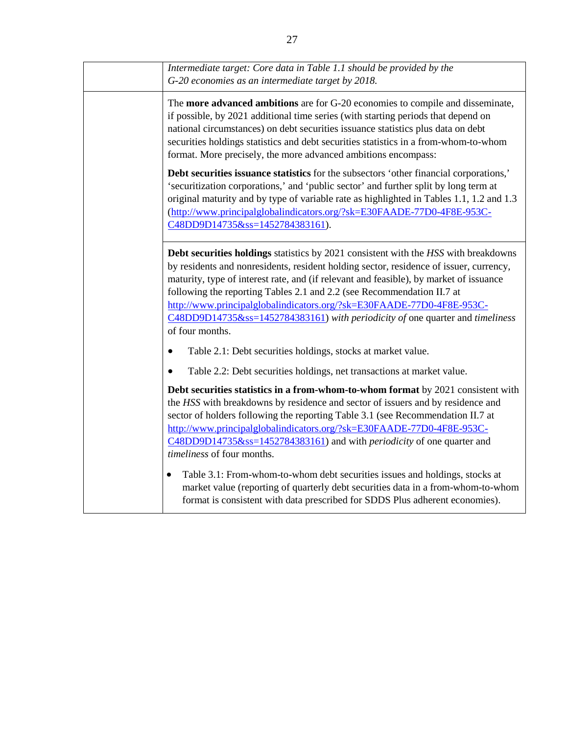| Intermediate target: Core data in Table 1.1 should be provided by the<br>G-20 economies as an intermediate target by 2018.                                                                                                                                                                                                                                                                                                                                                                                                     |
|--------------------------------------------------------------------------------------------------------------------------------------------------------------------------------------------------------------------------------------------------------------------------------------------------------------------------------------------------------------------------------------------------------------------------------------------------------------------------------------------------------------------------------|
| The <b>more advanced ambitions</b> are for G-20 economies to compile and disseminate,<br>if possible, by 2021 additional time series (with starting periods that depend on<br>national circumstances) on debt securities issuance statistics plus data on debt<br>securities holdings statistics and debt securities statistics in a from-whom-to-whom<br>format. More precisely, the more advanced ambitions encompass:                                                                                                       |
| Debt securities issuance statistics for the subsectors 'other financial corporations,'<br>'securitization corporations,' and 'public sector' and further split by long term at<br>original maturity and by type of variable rate as highlighted in Tables 1.1, 1.2 and 1.3<br>(http://www.principalglobalindicators.org/?sk=E30FAADE-77D0-4F8E-953C-<br>C48DD9D14735&ss=1452784383161).                                                                                                                                        |
| Debt securities holdings statistics by 2021 consistent with the HSS with breakdowns<br>by residents and nonresidents, resident holding sector, residence of issuer, currency,<br>maturity, type of interest rate, and (if relevant and feasible), by market of issuance<br>following the reporting Tables 2.1 and 2.2 (see Recommendation II.7 at<br>http://www.principalglobalindicators.org/?sk=E30FAADE-77D0-4F8E-953C-<br>C48DD9D14735&ss=1452784383161) with periodicity of one quarter and timeliness<br>of four months. |
| Table 2.1: Debt securities holdings, stocks at market value.<br>$\bullet$                                                                                                                                                                                                                                                                                                                                                                                                                                                      |
| Table 2.2: Debt securities holdings, net transactions at market value.                                                                                                                                                                                                                                                                                                                                                                                                                                                         |
| Debt securities statistics in a from-whom-to-whom format by 2021 consistent with<br>the HSS with breakdowns by residence and sector of issuers and by residence and<br>sector of holders following the reporting Table 3.1 (see Recommendation II.7 at<br>http://www.principalglobalindicators.org/?sk=E30FAADE-77D0-4F8E-953C-<br>C48DD9D14735&ss=1452784383161) and with <i>periodicity</i> of one quarter and<br>timeliness of four months.                                                                                 |
| Table 3.1: From-whom-to-whom debt securities issues and holdings, stocks at<br>market value (reporting of quarterly debt securities data in a from-whom-to-whom<br>format is consistent with data prescribed for SDDS Plus adherent economies).                                                                                                                                                                                                                                                                                |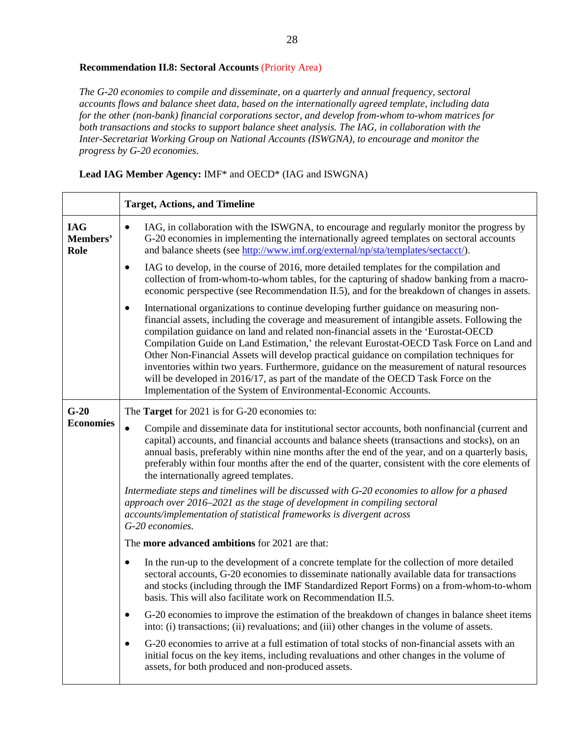#### **Recommendation II.8: Sectoral Accounts** (Priority Area)

*The G-20 economies to compile and disseminate, on a quarterly and annual frequency, sectoral accounts flows and balance sheet data, based on the internationally agreed template, including data for the other (non-bank) financial corporations sector, and develop from-whom to-whom matrices for both transactions and stocks to support balance sheet analysis. The IAG, in collaboration with the Inter-Secretariat Working Group on National Accounts (ISWGNA), to encourage and monitor the progress by G-20 economies.* 

**Lead IAG Member Agency:** IMF\* and OECD\* (IAG and ISWGNA)

|                                | <b>Target, Actions, and Timeline</b>                                                                                                                                                                                                                                                                                                                                                                                                                                                                                                                                                                                                                                                                                                       |
|--------------------------------|--------------------------------------------------------------------------------------------------------------------------------------------------------------------------------------------------------------------------------------------------------------------------------------------------------------------------------------------------------------------------------------------------------------------------------------------------------------------------------------------------------------------------------------------------------------------------------------------------------------------------------------------------------------------------------------------------------------------------------------------|
| <b>IAG</b><br>Members'<br>Role | IAG, in collaboration with the ISWGNA, to encourage and regularly monitor the progress by<br>٠<br>G-20 economies in implementing the internationally agreed templates on sectoral accounts<br>and balance sheets (see http://www.imf.org/external/np/sta/templates/sectacct/).                                                                                                                                                                                                                                                                                                                                                                                                                                                             |
|                                | IAG to develop, in the course of 2016, more detailed templates for the compilation and<br>$\bullet$<br>collection of from-whom-to-whom tables, for the capturing of shadow banking from a macro-<br>economic perspective (see Recommendation II.5), and for the breakdown of changes in assets.                                                                                                                                                                                                                                                                                                                                                                                                                                            |
|                                | International organizations to continue developing further guidance on measuring non-<br>$\bullet$<br>financial assets, including the coverage and measurement of intangible assets. Following the<br>compilation guidance on land and related non-financial assets in the 'Eurostat-OECD<br>Compilation Guide on Land Estimation,' the relevant Eurostat-OECD Task Force on Land and<br>Other Non-Financial Assets will develop practical guidance on compilation techniques for<br>inventories within two years. Furthermore, guidance on the measurement of natural resources<br>will be developed in 2016/17, as part of the mandate of the OECD Task Force on the<br>Implementation of the System of Environmental-Economic Accounts. |
| $G-20$                         | The <b>Target</b> for 2021 is for G-20 economies to:                                                                                                                                                                                                                                                                                                                                                                                                                                                                                                                                                                                                                                                                                       |
| <b>Economies</b>               | Compile and disseminate data for institutional sector accounts, both nonfinancial (current and<br>$\bullet$<br>capital) accounts, and financial accounts and balance sheets (transactions and stocks), on an<br>annual basis, preferably within nine months after the end of the year, and on a quarterly basis,<br>preferably within four months after the end of the quarter, consistent with the core elements of<br>the internationally agreed templates.                                                                                                                                                                                                                                                                              |
|                                | Intermediate steps and timelines will be discussed with G-20 economies to allow for a phased<br>approach over 2016–2021 as the stage of development in compiling sectoral<br>accounts/implementation of statistical frameworks is divergent across<br>G-20 economies.                                                                                                                                                                                                                                                                                                                                                                                                                                                                      |
|                                | The <b>more advanced ambitions</b> for 2021 are that:                                                                                                                                                                                                                                                                                                                                                                                                                                                                                                                                                                                                                                                                                      |
|                                | In the run-up to the development of a concrete template for the collection of more detailed<br>$\bullet$<br>sectoral accounts, G-20 economies to disseminate nationally available data for transactions<br>and stocks (including through the IMF Standardized Report Forms) on a from-whom-to-whom<br>basis. This will also facilitate work on Recommendation II.5.                                                                                                                                                                                                                                                                                                                                                                        |
|                                | G-20 economies to improve the estimation of the breakdown of changes in balance sheet items<br>into: (i) transactions; (ii) revaluations; and (iii) other changes in the volume of assets.                                                                                                                                                                                                                                                                                                                                                                                                                                                                                                                                                 |
|                                | G-20 economies to arrive at a full estimation of total stocks of non-financial assets with an<br>initial focus on the key items, including revaluations and other changes in the volume of<br>assets, for both produced and non-produced assets.                                                                                                                                                                                                                                                                                                                                                                                                                                                                                           |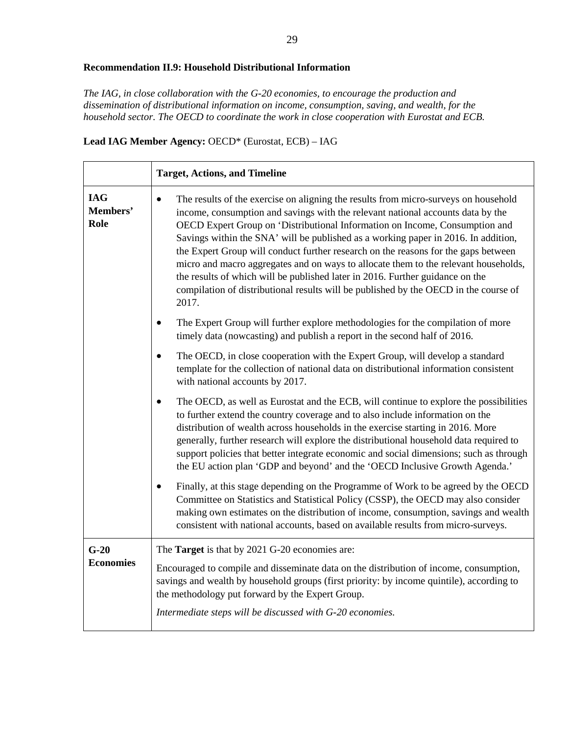#### **Recommendation II.9: Household Distributional Information**

*The IAG, in close collaboration with the G-20 economies, to encourage the production and dissemination of distributional information on income, consumption, saving, and wealth, for the household sector. The OECD to coordinate the work in close cooperation with Eurostat and ECB.*

**Lead IAG Member Agency:** OECD\* (Eurostat, ECB) – IAG

|                                | <b>Target, Actions, and Timeline</b>                                                                                                                                                                                                                                                                                                                                                                                                                                                                                                                                                                                                                                                                                    |
|--------------------------------|-------------------------------------------------------------------------------------------------------------------------------------------------------------------------------------------------------------------------------------------------------------------------------------------------------------------------------------------------------------------------------------------------------------------------------------------------------------------------------------------------------------------------------------------------------------------------------------------------------------------------------------------------------------------------------------------------------------------------|
| <b>IAG</b><br>Members'<br>Role | The results of the exercise on aligning the results from micro-surveys on household<br>$\bullet$<br>income, consumption and savings with the relevant national accounts data by the<br>OECD Expert Group on 'Distributional Information on Income, Consumption and<br>Savings within the SNA' will be published as a working paper in 2016. In addition,<br>the Expert Group will conduct further research on the reasons for the gaps between<br>micro and macro aggregates and on ways to allocate them to the relevant households,<br>the results of which will be published later in 2016. Further guidance on the<br>compilation of distributional results will be published by the OECD in the course of<br>2017. |
|                                | The Expert Group will further explore methodologies for the compilation of more<br>$\bullet$<br>timely data (nowcasting) and publish a report in the second half of 2016.                                                                                                                                                                                                                                                                                                                                                                                                                                                                                                                                               |
|                                | The OECD, in close cooperation with the Expert Group, will develop a standard<br>$\bullet$<br>template for the collection of national data on distributional information consistent<br>with national accounts by 2017.                                                                                                                                                                                                                                                                                                                                                                                                                                                                                                  |
|                                | The OECD, as well as Eurostat and the ECB, will continue to explore the possibilities<br>$\bullet$<br>to further extend the country coverage and to also include information on the<br>distribution of wealth across households in the exercise starting in 2016. More<br>generally, further research will explore the distributional household data required to<br>support policies that better integrate economic and social dimensions; such as through<br>the EU action plan 'GDP and beyond' and the 'OECD Inclusive Growth Agenda.'                                                                                                                                                                               |
|                                | Finally, at this stage depending on the Programme of Work to be agreed by the OECD<br>$\bullet$<br>Committee on Statistics and Statistical Policy (CSSP), the OECD may also consider<br>making own estimates on the distribution of income, consumption, savings and wealth<br>consistent with national accounts, based on available results from micro-surveys.                                                                                                                                                                                                                                                                                                                                                        |
| $G-20$<br><b>Economies</b>     | The Target is that by 2021 G-20 economies are:<br>Encouraged to compile and disseminate data on the distribution of income, consumption,<br>savings and wealth by household groups (first priority: by income quintile), according to<br>the methodology put forward by the Expert Group.<br>Intermediate steps will be discussed with G-20 economies.                                                                                                                                                                                                                                                                                                                                                                  |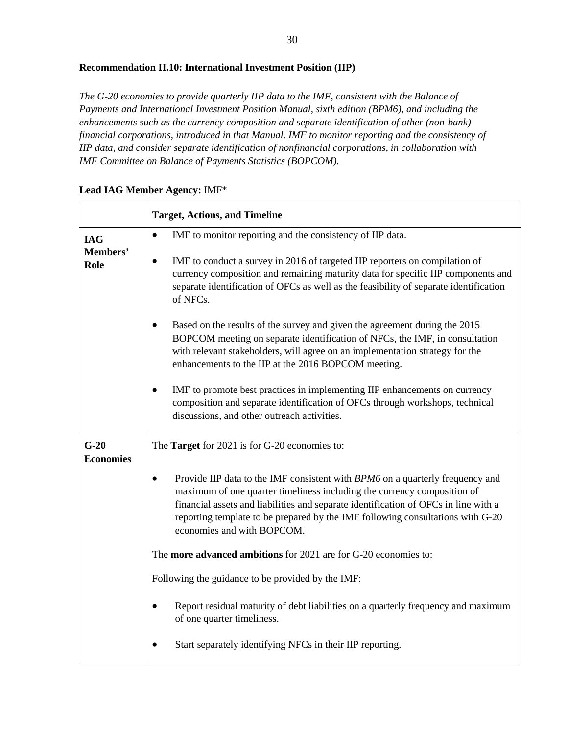## **Recommendation II.10: International Investment Position (IIP)**

*The G-20 economies to provide quarterly IIP data to the IMF, consistent with the Balance of Payments and International Investment Position Manual, sixth edition (BPM6), and including the enhancements such as the currency composition and separate identification of other (non-bank) financial corporations, introduced in that Manual. IMF to monitor reporting and the consistency of IIP data, and consider separate identification of nonfinancial corporations, in collaboration with IMF Committee on Balance of Payments Statistics (BOPCOM).*

|                            | <b>Target, Actions, and Timeline</b>                                                                                                                                                                                                                                                                                                                            |
|----------------------------|-----------------------------------------------------------------------------------------------------------------------------------------------------------------------------------------------------------------------------------------------------------------------------------------------------------------------------------------------------------------|
| <b>IAG</b>                 | IMF to monitor reporting and the consistency of IIP data.<br>$\bullet$                                                                                                                                                                                                                                                                                          |
| Members'<br>Role           | IMF to conduct a survey in 2016 of targeted IIP reporters on compilation of<br>currency composition and remaining maturity data for specific IIP components and<br>separate identification of OFCs as well as the feasibility of separate identification<br>of NFCs.                                                                                            |
|                            | Based on the results of the survey and given the agreement during the 2015<br>BOPCOM meeting on separate identification of NFCs, the IMF, in consultation<br>with relevant stakeholders, will agree on an implementation strategy for the<br>enhancements to the IIP at the 2016 BOPCOM meeting.                                                                |
|                            | IMF to promote best practices in implementing IIP enhancements on currency<br>composition and separate identification of OFCs through workshops, technical<br>discussions, and other outreach activities.                                                                                                                                                       |
| $G-20$<br><b>Economies</b> | The <b>Target</b> for 2021 is for G-20 economies to:                                                                                                                                                                                                                                                                                                            |
|                            | Provide IIP data to the IMF consistent with BPM6 on a quarterly frequency and<br>maximum of one quarter timeliness including the currency composition of<br>financial assets and liabilities and separate identification of OFCs in line with a<br>reporting template to be prepared by the IMF following consultations with G-20<br>economies and with BOPCOM. |
|                            | The more advanced ambitions for 2021 are for G-20 economies to:                                                                                                                                                                                                                                                                                                 |
|                            | Following the guidance to be provided by the IMF:                                                                                                                                                                                                                                                                                                               |
|                            | Report residual maturity of debt liabilities on a quarterly frequency and maximum<br>of one quarter timeliness.                                                                                                                                                                                                                                                 |
|                            | Start separately identifying NFCs in their IIP reporting.                                                                                                                                                                                                                                                                                                       |

### **Lead IAG Member Agency:** IMF\*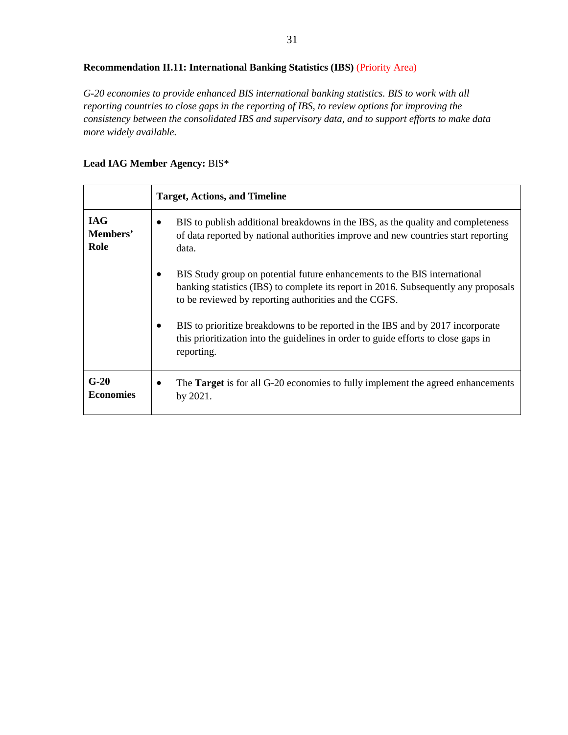# **Recommendation II.11: International Banking Statistics (IBS)** (Priority Area)

*G-20 economies to provide enhanced BIS international banking statistics. BIS to work with all reporting countries to close gaps in the reporting of IBS, to review options for improving the consistency between the consolidated IBS and supervisory data, and to support efforts to make data more widely available.*

#### **Lead IAG Member Agency:** BIS\*

|                                | <b>Target, Actions, and Timeline</b>                                                                                                                                                                                      |
|--------------------------------|---------------------------------------------------------------------------------------------------------------------------------------------------------------------------------------------------------------------------|
| <b>IAG</b><br>Members'<br>Role | BIS to publish additional breakdowns in the IBS, as the quality and completeness<br>of data reported by national authorities improve and new countries start reporting<br>data.                                           |
|                                | BIS Study group on potential future enhancements to the BIS international<br>banking statistics (IBS) to complete its report in 2016. Subsequently any proposals<br>to be reviewed by reporting authorities and the CGFS. |
|                                | BIS to prioritize breakdowns to be reported in the IBS and by 2017 incorporate<br>this prioritization into the guidelines in order to guide efforts to close gaps in<br>reporting.                                        |
| $G-20$<br><b>Economies</b>     | The <b>Target</b> is for all G-20 economies to fully implement the agreed enhancements<br>by 2021.                                                                                                                        |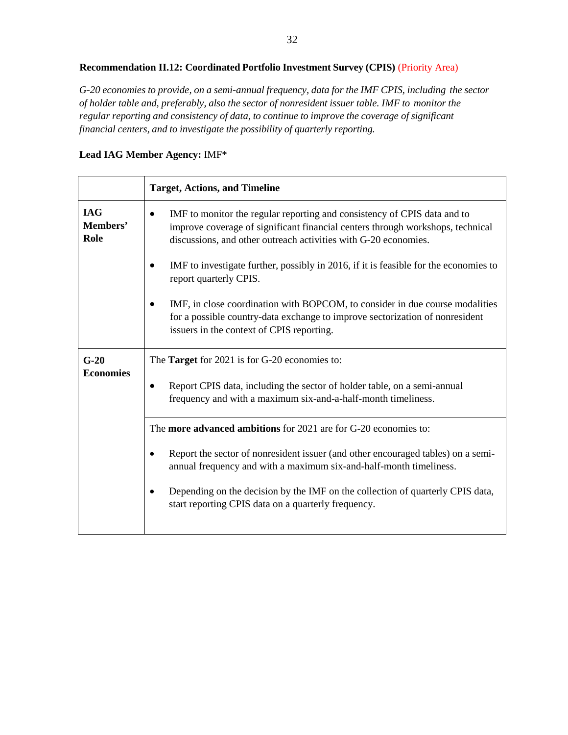# **Recommendation II.12: Coordinated Portfolio Investment Survey (CPIS)** (Priority Area)

*G-20 economies to provide, on a semi-annual frequency, data for the IMF CPIS, including the sector of holder table and, preferably, also the sector of nonresident issuer table. IMF to monitor the regular reporting and consistency of data, to continue to improve the coverage of significant financial centers, and to investigate the possibility of quarterly reporting.*

#### **Lead IAG Member Agency:** IMF\*

|                                | <b>Target, Actions, and Timeline</b>                                                                                                                                                                                          |
|--------------------------------|-------------------------------------------------------------------------------------------------------------------------------------------------------------------------------------------------------------------------------|
| <b>IAG</b><br>Members'<br>Role | IMF to monitor the regular reporting and consistency of CPIS data and to<br>improve coverage of significant financial centers through workshops, technical<br>discussions, and other outreach activities with G-20 economies. |
|                                | IMF to investigate further, possibly in 2016, if it is feasible for the economies to<br>report quarterly CPIS.                                                                                                                |
|                                | IMF, in close coordination with BOPCOM, to consider in due course modalities<br>for a possible country-data exchange to improve sectorization of nonresident<br>issuers in the context of CPIS reporting.                     |
| $G-20$                         | The <b>Target</b> for 2021 is for G-20 economies to:                                                                                                                                                                          |
| <b>Economies</b>               | Report CPIS data, including the sector of holder table, on a semi-annual<br>frequency and with a maximum six-and-a-half-month timeliness.                                                                                     |
|                                | The more advanced ambitions for 2021 are for G-20 economies to:                                                                                                                                                               |
|                                | Report the sector of nonresident issuer (and other encouraged tables) on a semi-<br>annual frequency and with a maximum six-and-half-month timeliness.                                                                        |
|                                | Depending on the decision by the IMF on the collection of quarterly CPIS data,<br>start reporting CPIS data on a quarterly frequency.                                                                                         |
|                                |                                                                                                                                                                                                                               |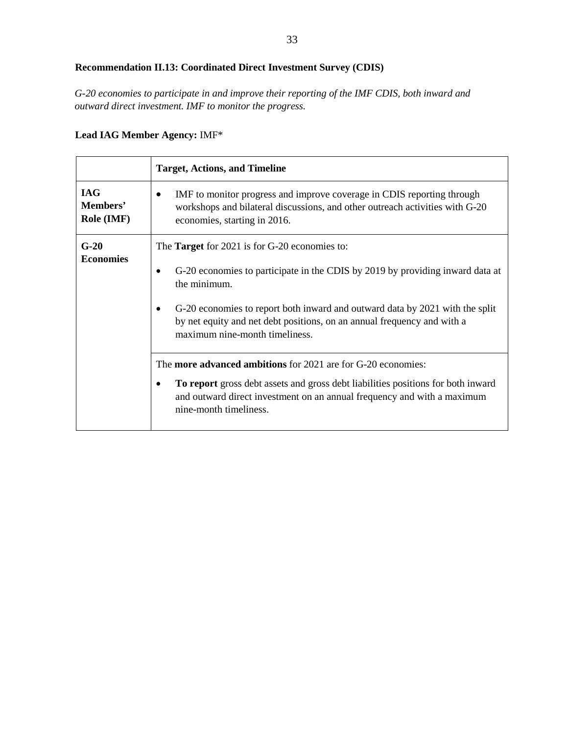# **Recommendation II.13: Coordinated Direct Investment Survey (CDIS)**

*G-20 economies to participate in and improve their reporting of the IMF CDIS, both inward and outward direct investment. IMF to monitor the progress.*

# **Lead IAG Member Agency:** IMF\*

|                                      | <b>Target, Actions, and Timeline</b>                                                                                                                                                                                                                                                                                                               |
|--------------------------------------|----------------------------------------------------------------------------------------------------------------------------------------------------------------------------------------------------------------------------------------------------------------------------------------------------------------------------------------------------|
| <b>IAG</b><br>Members'<br>Role (IMF) | IMF to monitor progress and improve coverage in CDIS reporting through<br>$\bullet$<br>workshops and bilateral discussions, and other outreach activities with G-20<br>economies, starting in 2016.                                                                                                                                                |
| $G-20$<br><b>Economies</b>           | The <b>Target</b> for 2021 is for G-20 economies to:<br>G-20 economies to participate in the CDIS by 2019 by providing inward data at<br>the minimum.<br>G-20 economies to report both inward and outward data by 2021 with the split<br>by net equity and net debt positions, on an annual frequency and with a<br>maximum nine-month timeliness. |
|                                      | The <b>more advanced ambitions</b> for 2021 are for G-20 economies:<br>To report gross debt assets and gross debt liabilities positions for both inward<br>٠<br>and outward direct investment on an annual frequency and with a maximum<br>nine-month timeliness.                                                                                  |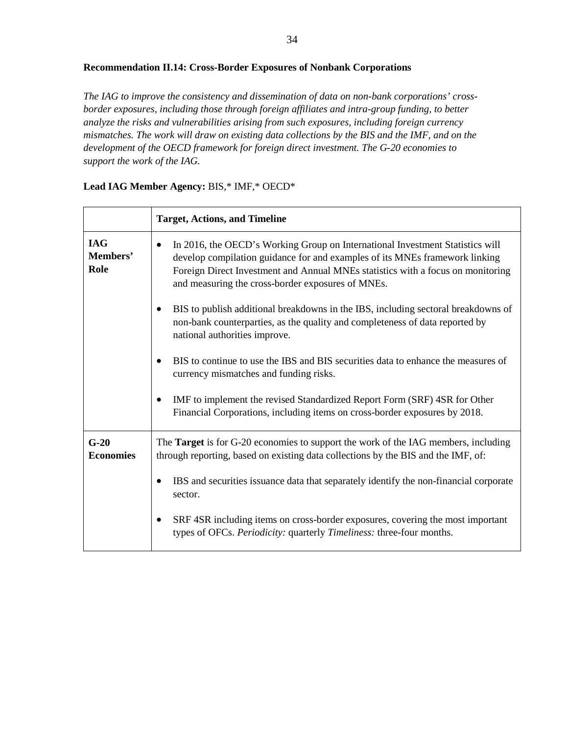#### **Recommendation II.14: Cross-Border Exposures of Nonbank Corporations**

*The IAG to improve the consistency and dissemination of data on non-bank corporations' crossborder exposures, including those through foreign affiliates and intra-group funding, to better analyze the risks and vulnerabilities arising from such exposures, including foreign currency mismatches. The work will draw on existing data collections by the BIS and the IMF, and on the development of the OECD framework for foreign direct investment. The G-20 economies to support the work of the IAG.*

|                                | <b>Target, Actions, and Timeline</b>                                                                                                                                                                                                                                                                      |
|--------------------------------|-----------------------------------------------------------------------------------------------------------------------------------------------------------------------------------------------------------------------------------------------------------------------------------------------------------|
| <b>IAG</b><br>Members'<br>Role | In 2016, the OECD's Working Group on International Investment Statistics will<br>٠<br>develop compilation guidance for and examples of its MNEs framework linking<br>Foreign Direct Investment and Annual MNEs statistics with a focus on monitoring<br>and measuring the cross-border exposures of MNEs. |
|                                | BIS to publish additional breakdowns in the IBS, including sectoral breakdowns of<br>non-bank counterparties, as the quality and completeness of data reported by<br>national authorities improve.                                                                                                        |
|                                | BIS to continue to use the IBS and BIS securities data to enhance the measures of<br>currency mismatches and funding risks.                                                                                                                                                                               |
|                                | IMF to implement the revised Standardized Report Form (SRF) 4SR for Other<br>Financial Corporations, including items on cross-border exposures by 2018.                                                                                                                                                   |
| $G-20$<br><b>Economies</b>     | The Target is for G-20 economies to support the work of the IAG members, including<br>through reporting, based on existing data collections by the BIS and the IMF, of:                                                                                                                                   |
|                                | IBS and securities issuance data that separately identify the non-financial corporate<br>sector.                                                                                                                                                                                                          |
|                                | SRF 4SR including items on cross-border exposures, covering the most important<br>types of OFCs. Periodicity: quarterly Timeliness: three-four months.                                                                                                                                                    |

#### **Lead IAG Member Agency:** BIS,\* IMF,\* OECD\*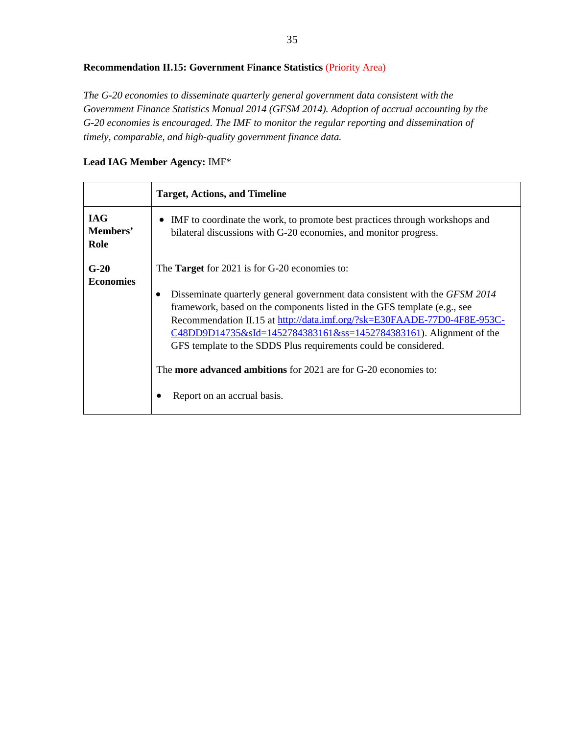# **Recommendation II.15: Government Finance Statistics** (Priority Area)

*The G-20 economies to disseminate quarterly general government data consistent with the Government Finance Statistics Manual 2014 (GFSM 2014). Adoption of accrual accounting by the G-20 economies is encouraged. The IMF to monitor the regular reporting and dissemination of timely, comparable, and high-quality government finance data.*

#### **Lead IAG Member Agency:** IMF\*

|                                | <b>Target, Actions, and Timeline</b>                                                                                                                                                                                                                                                                                                                                                                                                                                                                                                          |
|--------------------------------|-----------------------------------------------------------------------------------------------------------------------------------------------------------------------------------------------------------------------------------------------------------------------------------------------------------------------------------------------------------------------------------------------------------------------------------------------------------------------------------------------------------------------------------------------|
| <b>IAG</b><br>Members'<br>Role | IMF to coordinate the work, to promote best practices through workshops and<br>$\bullet$<br>bilateral discussions with G-20 economies, and monitor progress.                                                                                                                                                                                                                                                                                                                                                                                  |
| $G-20$<br><b>Economies</b>     | The <b>Target</b> for 2021 is for G-20 economies to:<br>Disseminate quarterly general government data consistent with the GFSM 2014<br>framework, based on the components listed in the GFS template (e.g., see<br>Recommendation II.15 at http://data.imf.org/?sk=E30FAADE-77D0-4F8E-953C-<br>C48DD9D14735&sId=1452784383161&ss=1452784383161). Alignment of the<br>GFS template to the SDDS Plus requirements could be considered.<br>The <b>more advanced ambitions</b> for 2021 are for G-20 economies to:<br>Report on an accrual basis. |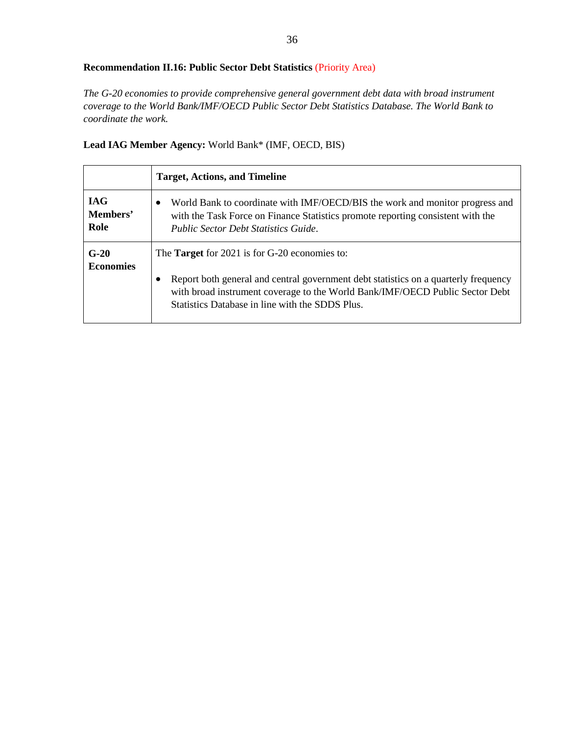# **Recommendation II.16: Public Sector Debt Statistics** (Priority Area)

*The G-20 economies to provide comprehensive general government debt data with broad instrument coverage to the World Bank/IMF/OECD Public Sector Debt Statistics Database. The World Bank to coordinate the work.*

**Lead IAG Member Agency:** World Bank\* (IMF, OECD, BIS)

|                                | <b>Target, Actions, and Timeline</b>                                                                                                                                                                                        |
|--------------------------------|-----------------------------------------------------------------------------------------------------------------------------------------------------------------------------------------------------------------------------|
| <b>IAG</b><br>Members'<br>Role | World Bank to coordinate with IMF/OECD/BIS the work and monitor progress and<br>with the Task Force on Finance Statistics promote reporting consistent with the<br><b>Public Sector Debt Statistics Guide.</b>              |
| $G-20$                         | The <b>Target</b> for 2021 is for G-20 economies to:                                                                                                                                                                        |
| <b>Economies</b>               | Report both general and central government debt statistics on a quarterly frequency<br>٠<br>with broad instrument coverage to the World Bank/IMF/OECD Public Sector Debt<br>Statistics Database in line with the SDDS Plus. |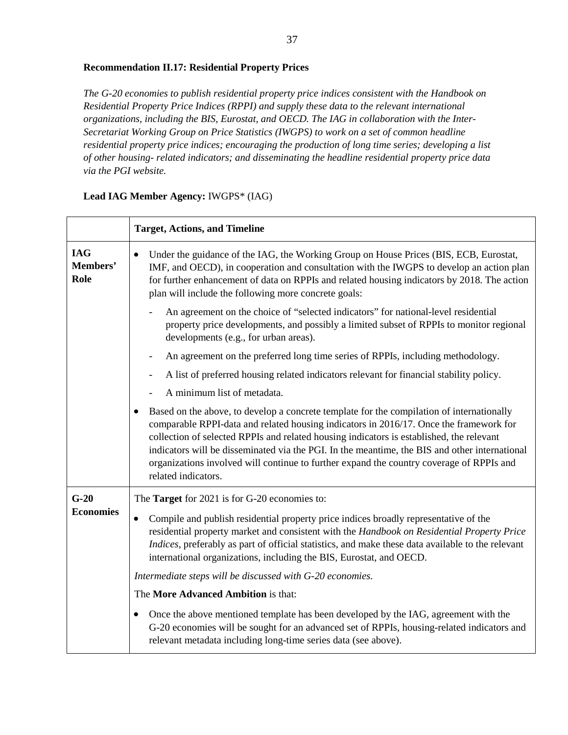#### **Recommendation II.17: Residential Property Prices**

*The G-20 economies to publish residential property price indices consistent with the Handbook on Residential Property Price Indices (RPPI) and supply these data to the relevant international organizations, including the BIS, Eurostat, and OECD. The IAG in collaboration with the Inter-Secretariat Working Group on Price Statistics (IWGPS) to work on a set of common headline residential property price indices; encouraging the production of long time series; developing a list of other housing- related indicators; and disseminating the headline residential property price data via the PGI website.*

|                                | <b>Target, Actions, and Timeline</b>                                                                                                                                                                                                                                                                                                                                                                                                                                                                             |
|--------------------------------|------------------------------------------------------------------------------------------------------------------------------------------------------------------------------------------------------------------------------------------------------------------------------------------------------------------------------------------------------------------------------------------------------------------------------------------------------------------------------------------------------------------|
| <b>IAG</b><br>Members'<br>Role | Under the guidance of the IAG, the Working Group on House Prices (BIS, ECB, Eurostat,<br>IMF, and OECD), in cooperation and consultation with the IWGPS to develop an action plan<br>for further enhancement of data on RPPIs and related housing indicators by 2018. The action<br>plan will include the following more concrete goals:                                                                                                                                                                         |
|                                | An agreement on the choice of "selected indicators" for national-level residential<br>property price developments, and possibly a limited subset of RPPIs to monitor regional<br>developments (e.g., for urban areas).                                                                                                                                                                                                                                                                                           |
|                                | An agreement on the preferred long time series of RPPIs, including methodology.                                                                                                                                                                                                                                                                                                                                                                                                                                  |
|                                | A list of preferred housing related indicators relevant for financial stability policy.                                                                                                                                                                                                                                                                                                                                                                                                                          |
|                                | A minimum list of metadata.                                                                                                                                                                                                                                                                                                                                                                                                                                                                                      |
|                                | Based on the above, to develop a concrete template for the compilation of internationally<br>$\bullet$<br>comparable RPPI-data and related housing indicators in 2016/17. Once the framework for<br>collection of selected RPPIs and related housing indicators is established, the relevant<br>indicators will be disseminated via the PGI. In the meantime, the BIS and other international<br>organizations involved will continue to further expand the country coverage of RPPIs and<br>related indicators. |
| $G-20$                         | The <b>Target</b> for 2021 is for G-20 economies to:                                                                                                                                                                                                                                                                                                                                                                                                                                                             |
| <b>Economies</b>               | Compile and publish residential property price indices broadly representative of the<br>$\bullet$<br>residential property market and consistent with the Handbook on Residential Property Price<br>Indices, preferably as part of official statistics, and make these data available to the relevant<br>international organizations, including the BIS, Eurostat, and OECD.                                                                                                                                      |
|                                | Intermediate steps will be discussed with G-20 economies.                                                                                                                                                                                                                                                                                                                                                                                                                                                        |
|                                | The More Advanced Ambition is that:                                                                                                                                                                                                                                                                                                                                                                                                                                                                              |
|                                | Once the above mentioned template has been developed by the IAG, agreement with the<br>$\bullet$<br>G-20 economies will be sought for an advanced set of RPPIs, housing-related indicators and<br>relevant metadata including long-time series data (see above).                                                                                                                                                                                                                                                 |

#### **Lead IAG Member Agency:** IWGPS\* (IAG)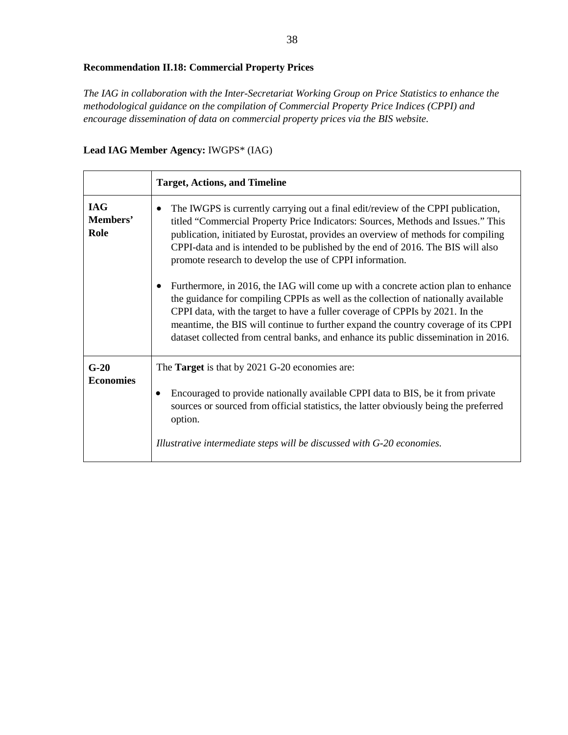# **Recommendation II.18: Commercial Property Prices**

*The IAG in collaboration with the Inter-Secretariat Working Group on Price Statistics to enhance the methodological guidance on the compilation of Commercial Property Price Indices (CPPI) and encourage dissemination of data on commercial property prices via the BIS website.*

**Lead IAG Member Agency:** IWGPS\* (IAG)

|                                | <b>Target, Actions, and Timeline</b>                                                                                                                                                                                                                                                                                                                                                                                                                                                                                                                                                                                                                                                                                                                                                                                                                           |
|--------------------------------|----------------------------------------------------------------------------------------------------------------------------------------------------------------------------------------------------------------------------------------------------------------------------------------------------------------------------------------------------------------------------------------------------------------------------------------------------------------------------------------------------------------------------------------------------------------------------------------------------------------------------------------------------------------------------------------------------------------------------------------------------------------------------------------------------------------------------------------------------------------|
| <b>IAG</b><br>Members'<br>Role | The IWGPS is currently carrying out a final edit/review of the CPPI publication,<br>$\bullet$<br>titled "Commercial Property Price Indicators: Sources, Methods and Issues." This<br>publication, initiated by Eurostat, provides an overview of methods for compiling<br>CPPI-data and is intended to be published by the end of 2016. The BIS will also<br>promote research to develop the use of CPPI information.<br>Furthermore, in 2016, the IAG will come up with a concrete action plan to enhance<br>the guidance for compiling CPPIs as well as the collection of nationally available<br>CPPI data, with the target to have a fuller coverage of CPPIs by 2021. In the<br>meantime, the BIS will continue to further expand the country coverage of its CPPI<br>dataset collected from central banks, and enhance its public dissemination in 2016. |
| $G-20$<br><b>Economies</b>     | The <b>Target</b> is that by 2021 G-20 economies are:<br>Encouraged to provide nationally available CPPI data to BIS, be it from private<br>sources or sourced from official statistics, the latter obviously being the preferred<br>option.                                                                                                                                                                                                                                                                                                                                                                                                                                                                                                                                                                                                                   |
|                                | Illustrative intermediate steps will be discussed with G-20 economies.                                                                                                                                                                                                                                                                                                                                                                                                                                                                                                                                                                                                                                                                                                                                                                                         |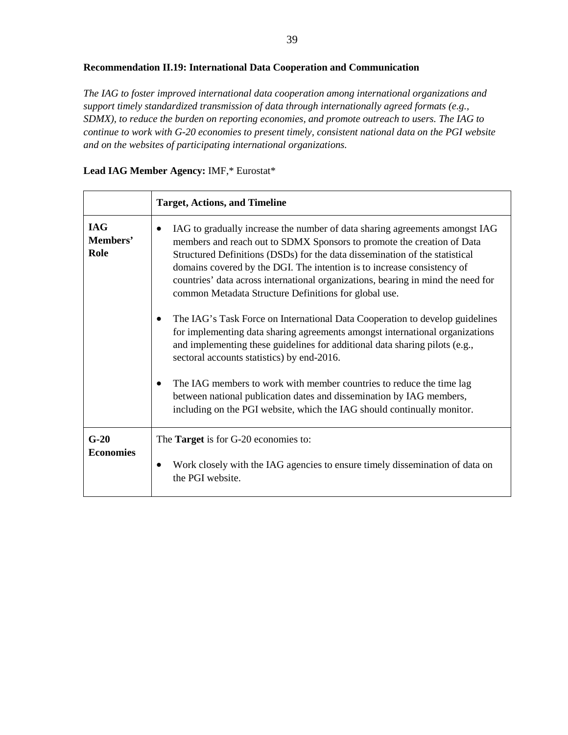#### **Recommendation II.19: International Data Cooperation and Communication**

*The IAG to foster improved international data cooperation among international organizations and support timely standardized transmission of data through internationally agreed formats (e.g., SDMX), to reduce the burden on reporting economies, and promote outreach to users. The IAG to continue to work with G-20 economies to present timely, consistent national data on the PGI website and on the websites of participating international organizations.*

## **Lead IAG Member Agency:** IMF,\* Eurostat\*

|                                | <b>Target, Actions, and Timeline</b>                                                                                                                                                                                                                                                                                                                                                                                                                                                                                                                                                                                                                                                                                                                      |
|--------------------------------|-----------------------------------------------------------------------------------------------------------------------------------------------------------------------------------------------------------------------------------------------------------------------------------------------------------------------------------------------------------------------------------------------------------------------------------------------------------------------------------------------------------------------------------------------------------------------------------------------------------------------------------------------------------------------------------------------------------------------------------------------------------|
| <b>IAG</b><br>Members'<br>Role | IAG to gradually increase the number of data sharing agreements amongst IAG<br>members and reach out to SDMX Sponsors to promote the creation of Data<br>Structured Definitions (DSDs) for the data dissemination of the statistical<br>domains covered by the DGI. The intention is to increase consistency of<br>countries' data across international organizations, bearing in mind the need for<br>common Metadata Structure Definitions for global use.<br>The IAG's Task Force on International Data Cooperation to develop guidelines<br>for implementing data sharing agreements amongst international organizations<br>and implementing these guidelines for additional data sharing pilots (e.g.,<br>sectoral accounts statistics) by end-2016. |
|                                | The IAG members to work with member countries to reduce the time lag<br>between national publication dates and dissemination by IAG members,<br>including on the PGI website, which the IAG should continually monitor.                                                                                                                                                                                                                                                                                                                                                                                                                                                                                                                                   |
| $G-20$<br><b>Economies</b>     | The <b>Target</b> is for G-20 economies to:<br>Work closely with the IAG agencies to ensure timely dissemination of data on<br>the PGI website.                                                                                                                                                                                                                                                                                                                                                                                                                                                                                                                                                                                                           |